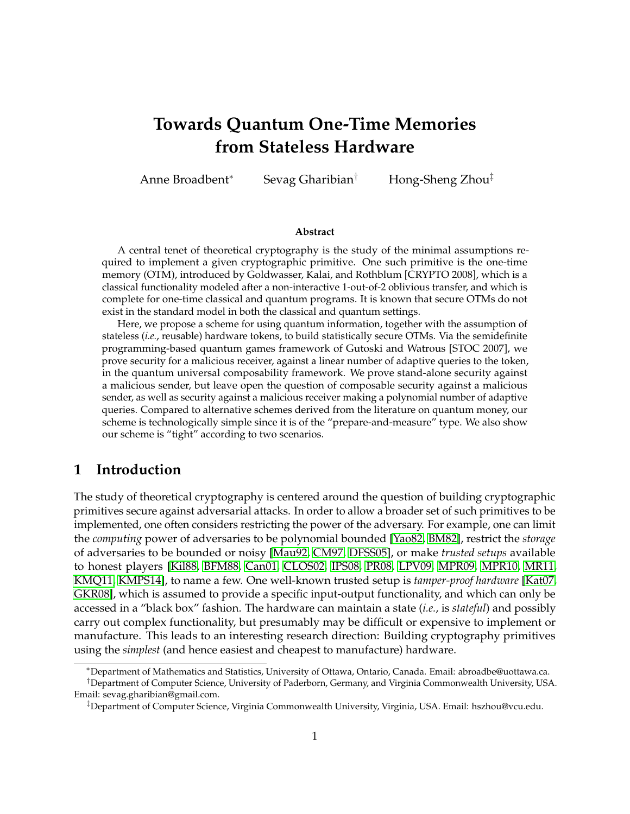# <span id="page-0-0"></span>**Towards Quantum One-Time Memories from Stateless Hardware**

Anne Broadbent<sup>∗</sup> Sevag Gharibian† Hong-Sheng Zhou‡

#### **Abstract**

A central tenet of theoretical cryptography is the study of the minimal assumptions required to implement a given cryptographic primitive. One such primitive is the one-time memory (OTM), introduced by Goldwasser, Kalai, and Rothblum [CRYPTO 2008], which is a classical functionality modeled after a non-interactive 1-out-of-2 oblivious transfer, and which is complete for one-time classical and quantum programs. It is known that secure OTMs do not exist in the standard model in both the classical and quantum settings.

Here, we propose a scheme for using quantum information, together with the assumption of stateless (*i.e.*, reusable) hardware tokens, to build statistically secure OTMs. Via the semidefinite programming-based quantum games framework of Gutoski and Watrous [STOC 2007], we prove security for a malicious receiver, against a linear number of adaptive queries to the token, in the quantum universal composability framework. We prove stand-alone security against a malicious sender, but leave open the question of composable security against a malicious sender, as well as security against a malicious receiver making a polynomial number of adaptive queries. Compared to alternative schemes derived from the literature on quantum money, our scheme is technologically simple since it is of the "prepare-and-measure" type. We also show our scheme is "tight" according to two scenarios.

# **1 Introduction**

The study of theoretical cryptography is centered around the question of building cryptographic primitives secure against adversarial attacks. In order to allow a broader set of such primitives to be implemented, one often considers restricting the power of the adversary. For example, one can limit the *computing* power of adversaries to be polynomial bounded [\[Yao82,](#page-33-0) [BM82\]](#page-29-0), restrict the *storage* of adversaries to be bounded or noisy [\[Mau92,](#page-32-0) [CM97,](#page-30-0) [DFSS05\]](#page-30-1), or make *trusted setups* available to honest players [\[Kil88,](#page-31-0) [BFM88,](#page-29-1) [Can01,](#page-29-2) [CLOS02,](#page-30-2) [IPS08,](#page-31-1) [PR08,](#page-32-1) [LPV09,](#page-32-2) [MPR09,](#page-32-3) [MPR10,](#page-32-4) [MR11,](#page-32-5) [KMQ11,](#page-32-6) [KMPS14\]](#page-31-2), to name a few. One well-known trusted setup is *tamper-proof hardware* [\[Kat07,](#page-31-3) [GKR08\]](#page-31-4), which is assumed to provide a specific input-output functionality, and which can only be accessed in a "black box" fashion. The hardware can maintain a state (*i.e.*, is *stateful*) and possibly carry out complex functionality, but presumably may be difficult or expensive to implement or manufacture. This leads to an interesting research direction: Building cryptography primitives using the *simplest* (and hence easiest and cheapest to manufacture) hardware.

<sup>∗</sup>Department of Mathematics and Statistics, University of Ottawa, Ontario, Canada. Email: abroadbe@uottawa.ca.

<sup>†</sup>Department of Computer Science, University of Paderborn, Germany, and Virginia Commonwealth University, USA. Email: sevag.gharibian@gmail.com.

<sup>‡</sup>Department of Computer Science, Virginia Commonwealth University, Virginia, USA. Email: hszhou@vcu.edu.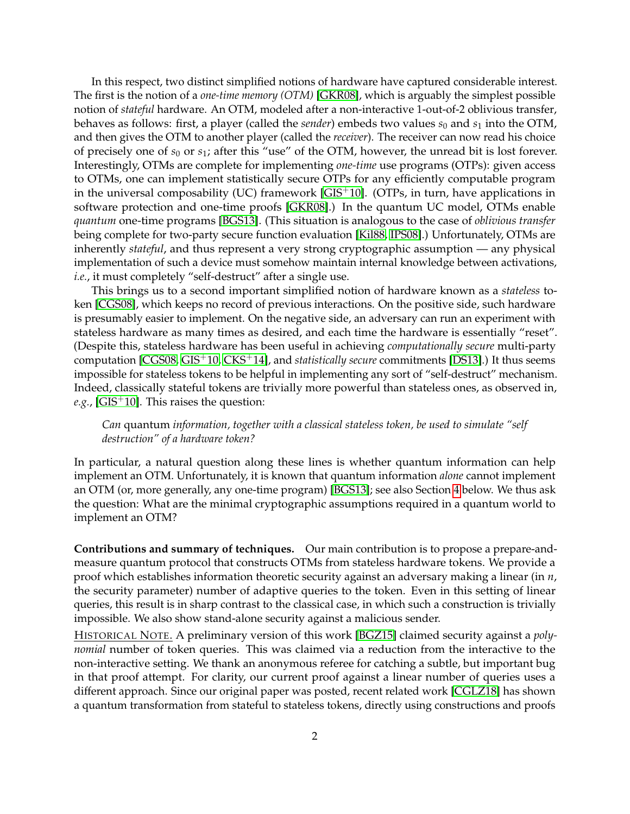In this respect, two distinct simplified notions of hardware have captured considerable interest. The first is the notion of a *one-time memory (OTM)* [\[GKR08\]](#page-31-4), which is arguably the simplest possible notion of *stateful* hardware. An OTM, modeled after a non-interactive 1-out-of-2 oblivious transfer, behaves as follows: first, a player (called the *sender*) embeds two values  $s_0$  and  $s_1$  into the OTM, and then gives the OTM to another player (called the *receiver*). The receiver can now read his choice of precisely one of *s*<sup>0</sup> or *s*1; after this "use" of the OTM, however, the unread bit is lost forever. Interestingly, OTMs are complete for implementing *one-time* use programs (OTPs): given access to OTMs, one can implement statistically secure OTPs for any efficiently computable program in the universal composability (UC) framework  $[GIS<sup>+</sup>10]$  $[GIS<sup>+</sup>10]$ . (OTPs, in turn, have applications in software protection and one-time proofs [\[GKR08\]](#page-31-4).) In the quantum UC model, OTMs enable *quantum* one-time programs [\[BGS13\]](#page-29-3). (This situation is analogous to the case of *oblivious transfer* being complete for two-party secure function evaluation [\[Kil88,](#page-31-0) [IPS08\]](#page-31-1).) Unfortunately, OTMs are inherently *stateful*, and thus represent a very strong cryptographic assumption — any physical implementation of such a device must somehow maintain internal knowledge between activations, *i.e.*, it must completely "self-destruct" after a single use.

This brings us to a second important simplified notion of hardware known as a *stateless* token [\[CGS08\]](#page-30-3), which keeps no record of previous interactions. On the positive side, such hardware is presumably easier to implement. On the negative side, an adversary can run an experiment with stateless hardware as many times as desired, and each time the hardware is essentially "reset". (Despite this, stateless hardware has been useful in achieving *computationally secure* multi-party computation [\[CGS08,](#page-30-3) [GIS](#page-31-5)+10, [CKS](#page-30-4)+14], and *statistically secure* commitments [\[DS13\]](#page-30-5).) It thus seems impossible for stateless tokens to be helpful in implementing any sort of "self-destruct" mechanism. Indeed, classically stateful tokens are trivially more powerful than stateless ones, as observed in, *e.g.*, [\[GIS](#page-31-5)+10]. This raises the question:

### *Can* quantum *information, together with a classical stateless token, be used to simulate "self destruction" of a hardware token?*

In particular, a natural question along these lines is whether quantum information can help implement an OTM. Unfortunately, it is known that quantum information *alone* cannot implement an OTM (or, more generally, any one-time program) [\[BGS13\]](#page-29-3); see also Section [4](#page-13-0) below. We thus ask the question: What are the minimal cryptographic assumptions required in a quantum world to implement an OTM?

**Contributions and summary of techniques.** Our main contribution is to propose a prepare-andmeasure quantum protocol that constructs OTMs from stateless hardware tokens. We provide a proof which establishes information theoretic security against an adversary making a linear (in *n*, the security parameter) number of adaptive queries to the token. Even in this setting of linear queries, this result is in sharp contrast to the classical case, in which such a construction is trivially impossible. We also show stand-alone security against a malicious sender.

HISTORICAL NOTE. A preliminary version of this work [\[BGZ15\]](#page-29-4) claimed security against a *polynomial* number of token queries. This was claimed via a reduction from the interactive to the non-interactive setting. We thank an anonymous referee for catching a subtle, but important bug in that proof attempt. For clarity, our current proof against a linear number of queries uses a different approach. Since our original paper was posted, recent related work [\[CGLZ18\]](#page-30-6) has shown a quantum transformation from stateful to stateless tokens, directly using constructions and proofs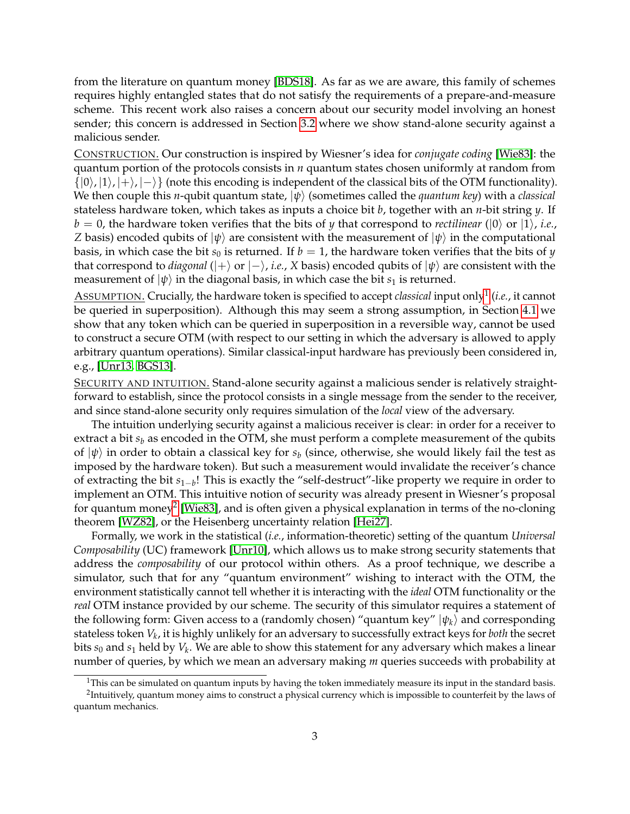from the literature on quantum money [\[BDS18\]](#page-29-5). As far as we are aware, this family of schemes requires highly entangled states that do not satisfy the requirements of a prepare-and-measure scheme. This recent work also raises a concern about our security model involving an honest sender; this concern is addressed in Section [3.2](#page-7-0) where we show stand-alone security against a malicious sender.

CONSTRUCTION. Our construction is inspired by Wiesner's idea for *conjugate coding* [\[Wie83\]](#page-33-1): the quantum portion of the protocols consists in *n* quantum states chosen uniformly at random from  $\{|0\rangle, |1\rangle, |+\rangle, |-\rangle\}$  (note this encoding is independent of the classical bits of the OTM functionality). We then couple this *n*-qubit quantum state, |*ψ*i (sometimes called the *quantum key*) with a *classical* stateless hardware token, which takes as inputs a choice bit *b*, together with an *n*-bit string *y*. If  $b = 0$ , the hardware token verifies that the bits of *y* that correspond to *rectilinear* ( $\ket{0}$  or  $\ket{1}$ *, i.e.*, *Z* basis) encoded qubits of  $|\psi\rangle$  are consistent with the measurement of  $|\psi\rangle$  in the computational basis, in which case the bit  $s_0$  is returned. If  $b = 1$ , the hardware token verifies that the bits of *y* that correspond to *diagonal* ( $|+\rangle$  or  $|-\rangle$ , *i.e.*, *X* basis) encoded qubits of  $|\psi\rangle$  are consistent with the measurement of  $|\psi\rangle$  in the diagonal basis, in which case the bit  $s_1$  is returned.

ASSUMPTION. Crucially, the hardware token is specified to accept *classical* input only[1](#page-2-0) (*i.e.*, it cannot be queried in superposition). Although this may seem a strong assumption, in Section [4.1](#page-13-1) we show that any token which can be queried in superposition in a reversible way, cannot be used to construct a secure OTM (with respect to our setting in which the adversary is allowed to apply arbitrary quantum operations). Similar classical-input hardware has previously been considered in, e.g., [\[Unr13,](#page-33-2) [BGS13\]](#page-29-3).

SECURITY AND INTUITION. Stand-alone security against a malicious sender is relatively straightforward to establish, since the protocol consists in a single message from the sender to the receiver, and since stand-alone security only requires simulation of the *local* view of the adversary.

The intuition underlying security against a malicious receiver is clear: in order for a receiver to extract a bit  $s<sub>b</sub>$  as encoded in the OTM, she must perform a complete measurement of the qubits of  $|\psi\rangle$  in order to obtain a classical key for  $s_b$  (since, otherwise, she would likely fail the test as imposed by the hardware token). But such a measurement would invalidate the receiver's chance of extracting the bit *s*1−*<sup>b</sup>* ! This is exactly the "self-destruct"-like property we require in order to implement an OTM. This intuitive notion of security was already present in Wiesner's proposal for quantum money $^2$  $^2$  [\[Wie83\]](#page-33-1), and is often given a physical explanation in terms of the no-cloning theorem [\[WZ82\]](#page-33-3), or the Heisenberg uncertainty relation [\[Hei27\]](#page-31-6).

Formally, we work in the statistical (*i.e.*, information-theoretic) setting of the quantum *Universal Composability* (UC) framework [\[Unr10\]](#page-33-4), which allows us to make strong security statements that address the *composability* of our protocol within others. As a proof technique, we describe a simulator, such that for any "quantum environment" wishing to interact with the OTM, the environment statistically cannot tell whether it is interacting with the *ideal* OTM functionality or the *real* OTM instance provided by our scheme. The security of this simulator requires a statement of the following form: Given access to a (randomly chosen) "quantum key"  $|\psi_k\rangle$  and corresponding stateless token *V<sup>k</sup>* , it is highly unlikely for an adversary to successfully extract keys for *both* the secret bits  $s_0$  and  $s_1$  held by  $V_k$ . We are able to show this statement for any adversary which makes a linear number of queries, by which we mean an adversary making *m* queries succeeds with probability at

<span id="page-2-1"></span><span id="page-2-0"></span><sup>&</sup>lt;sup>1</sup>This can be simulated on quantum inputs by having the token immediately measure its input in the standard basis.

 $^2$ Intuitively, quantum money aims to construct a physical currency which is impossible to counterfeit by the laws of quantum mechanics.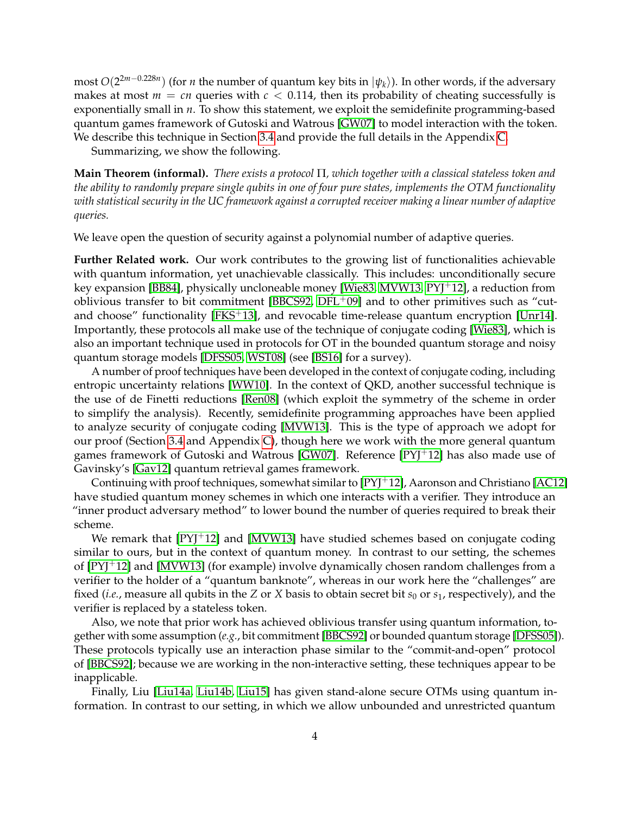most *O*(2 2*m*−0.228*n* ) (for *n* the number of quantum key bits in |*ψk*i). In other words, if the adversary makes at most  $m = cn$  queries with  $c < 0.114$ , then its probability of cheating successfully is exponentially small in *n*. To show this statement, we exploit the semidefinite programming-based quantum games framework of Gutoski and Watrous [\[GW07\]](#page-31-7) to model interaction with the token. We describe this technique in Section [3.4](#page-9-0) and provide the full details in the Appendix [C.](#page-18-0)

Summarizing, we show the following.

**Main Theorem (informal).** *There exists a protocol* Π*, which together with a classical stateless token and the ability to randomly prepare single qubits in one of four pure states, implements the OTM functionality with statistical security in the UC framework against a corrupted receiver making a linear number of adaptive queries.*

We leave open the question of security against a polynomial number of adaptive queries.

**Further Related work.** Our work contributes to the growing list of functionalities achievable with quantum information, yet unachievable classically. This includes: unconditionally secure key expansion [\[BB84\]](#page-29-6), physically uncloneable money [\[Wie83,](#page-33-1) [MVW13,](#page-32-7) [PYJ](#page-33-5)+12], a reduction from oblivious transfer to bit commitment [\[BBCS92,](#page-29-7)  $DFL+09$  $DFL+09$ ] and to other primitives such as "cut-and choose" functionality [\[FKS](#page-30-8)<sup>+</sup>13], and revocable time-release quantum encryption [\[Unr14\]](#page-33-6). Importantly, these protocols all make use of the technique of conjugate coding [\[Wie83\]](#page-33-1), which is also an important technique used in protocols for OT in the bounded quantum storage and noisy quantum storage models [\[DFSS05,](#page-30-1) [WST08\]](#page-33-7) (see [\[BS16\]](#page-29-8) for a survey).

A number of proof techniques have been developed in the context of conjugate coding, including entropic uncertainty relations [\[WW10\]](#page-33-8). In the context of QKD, another successful technique is the use of de Finetti reductions [\[Ren08\]](#page-33-9) (which exploit the symmetry of the scheme in order to simplify the analysis). Recently, semidefinite programming approaches have been applied to analyze security of conjugate coding [\[MVW13\]](#page-32-7). This is the type of approach we adopt for our proof (Section [3.4](#page-9-0) and Appendix [C\)](#page-18-0), though here we work with the more general quantum games framework of Gutoski and Watrous [\[GW07\]](#page-31-7). Reference [PY]<sup>+</sup>12] has also made use of Gavinsky's [\[Gav12\]](#page-31-8) quantum retrieval games framework.

Continuing with proof techniques, somewhat similar to  $[PYJ^+12]$  $[PYJ^+12]$ , Aaronson and Christiano  $[AC12]$ have studied quantum money schemes in which one interacts with a verifier. They introduce an "inner product adversary method" to lower bound the number of queries required to break their scheme.

We remark that  $[PY]^+12$ ] and  $[MVW13]$  have studied schemes based on conjugate coding similar to ours, but in the context of quantum money. In contrast to our setting, the schemes of [\[PYJ](#page-33-5)+12] and [\[MVW13\]](#page-32-7) (for example) involve dynamically chosen random challenges from a verifier to the holder of a "quantum banknote", whereas in our work here the "challenges" are fixed (*i.e.*, measure all qubits in the *Z* or *X* basis to obtain secret bit  $s_0$  or  $s_1$ , respectively), and the verifier is replaced by a stateless token.

Also, we note that prior work has achieved oblivious transfer using quantum information, together with some assumption (*e.g.*, bit commitment [\[BBCS92\]](#page-29-7) or bounded quantum storage [\[DFSS05\]](#page-30-1)). These protocols typically use an interaction phase similar to the "commit-and-open" protocol of [\[BBCS92\]](#page-29-7); because we are working in the non-interactive setting, these techniques appear to be inapplicable.

Finally, Liu [\[Liu14a,](#page-32-8) [Liu14b,](#page-32-9) [Liu15\]](#page-32-10) has given stand-alone secure OTMs using quantum information. In contrast to our setting, in which we allow unbounded and unrestricted quantum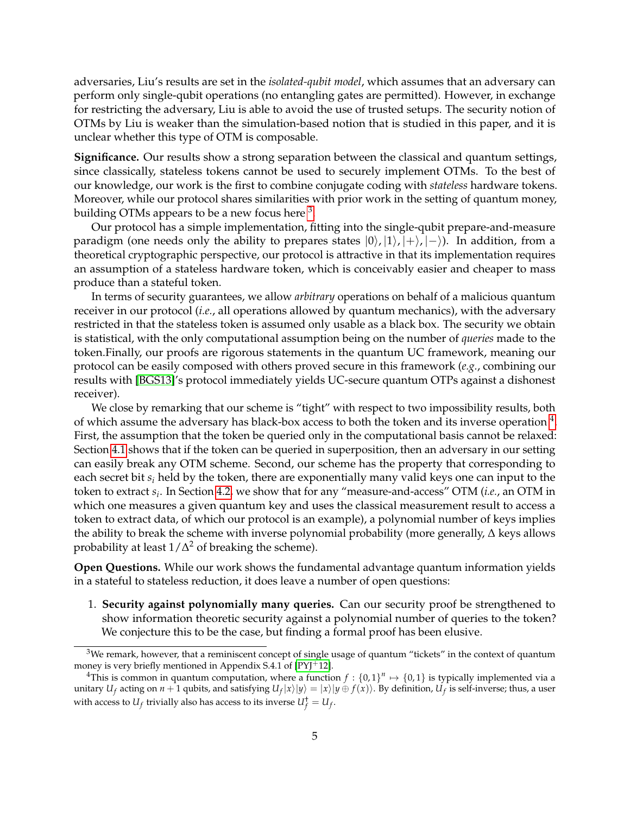adversaries, Liu's results are set in the *isolated-qubit model*, which assumes that an adversary can perform only single-qubit operations (no entangling gates are permitted). However, in exchange for restricting the adversary, Liu is able to avoid the use of trusted setups. The security notion of OTMs by Liu is weaker than the simulation-based notion that is studied in this paper, and it is unclear whether this type of OTM is composable.

**Significance.** Our results show a strong separation between the classical and quantum settings, since classically, stateless tokens cannot be used to securely implement OTMs. To the best of our knowledge, our work is the first to combine conjugate coding with *stateless* hardware tokens. Moreover, while our protocol shares similarities with prior work in the setting of quantum money, building OTMs appears to be a new focus here  $^3$  $^3$ .

Our protocol has a simple implementation, fitting into the single-qubit prepare-and-measure paradigm (one needs only the ability to prepares states  $|0\rangle, |1\rangle, |+\rangle, |-$ ). In addition, from a theoretical cryptographic perspective, our protocol is attractive in that its implementation requires an assumption of a stateless hardware token, which is conceivably easier and cheaper to mass produce than a stateful token.

In terms of security guarantees, we allow *arbitrary* operations on behalf of a malicious quantum receiver in our protocol (*i.e.*, all operations allowed by quantum mechanics), with the adversary restricted in that the stateless token is assumed only usable as a black box. The security we obtain is statistical, with the only computational assumption being on the number of *queries* made to the token.Finally, our proofs are rigorous statements in the quantum UC framework, meaning our protocol can be easily composed with others proved secure in this framework (*e.g.*, combining our results with [\[BGS13\]](#page-29-3)'s protocol immediately yields UC-secure quantum OTPs against a dishonest receiver).

We close by remarking that our scheme is "tight" with respect to two impossibility results, both of which assume the adversary has black-box access to both the token and its inverse operation  $^4$  $^4$ . First, the assumption that the token be queried only in the computational basis cannot be relaxed: Section [4.1](#page-13-1) shows that if the token can be queried in superposition, then an adversary in our setting can easily break any OTM scheme. Second, our scheme has the property that corresponding to each secret bit *s<sup>i</sup>* held by the token, there are exponentially many valid keys one can input to the token to extract *s<sup>i</sup>* . In Section [4.2,](#page-14-0) we show that for any "measure-and-access" OTM (*i.e.*, an OTM in which one measures a given quantum key and uses the classical measurement result to access a token to extract data, of which our protocol is an example), a polynomial number of keys implies the ability to break the scheme with inverse polynomial probability (more generally, ∆ keys allows probability at least  $1/\Delta^2$  of breaking the scheme).

**Open Questions.** While our work shows the fundamental advantage quantum information yields in a stateful to stateless reduction, it does leave a number of open questions:

1. **Security against polynomially many queries.** Can our security proof be strengthened to show information theoretic security against a polynomial number of queries to the token? We conjecture this to be the case, but finding a formal proof has been elusive.

<span id="page-4-0"></span> $3$ We remark, however, that a reminiscent concept of single usage of quantum "tickets" in the context of quantum money is very briefly mentioned in Appendix S.4.1 of [\[PYJ](#page-33-5)+12].

<span id="page-4-1"></span><sup>&</sup>lt;sup>4</sup>This is common in quantum computation, where a function  $f: \{0,1\}^n \mapsto \{0,1\}$  is typically implemented via a unitary  $U_f$  acting on  $n+1$  qubits, and satisfying  $U_f|x\rangle|y\rangle=|x\rangle|y\oplus f(x)\rangle$ . By definition,  $U_f$  is self-inverse; thus, a user with access to  $U_f$  trivially also has access to its inverse  $U_f^{\dagger} = U_f$ .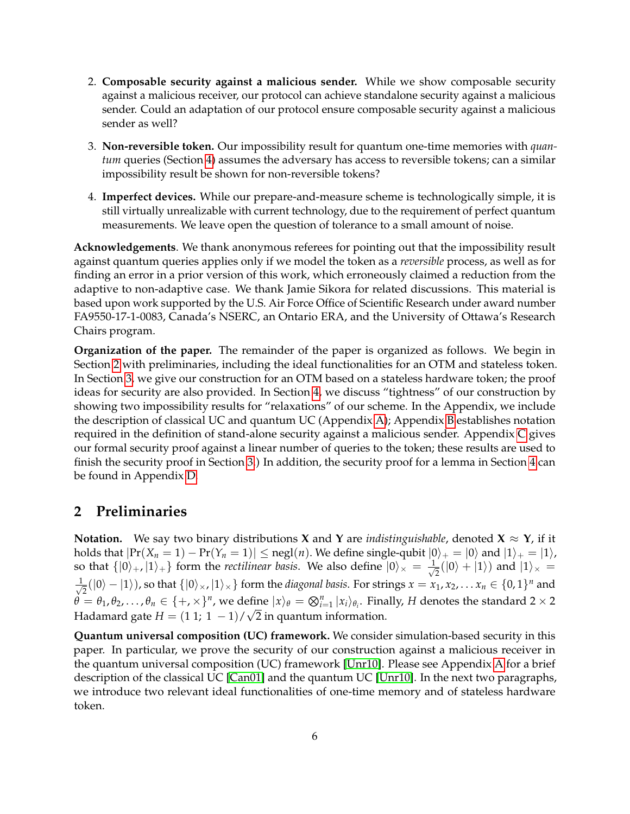- 2. **Composable security against a malicious sender.** While we show composable security against a malicious receiver, our protocol can achieve standalone security against a malicious sender. Could an adaptation of our protocol ensure composable security against a malicious sender as well?
- 3. **Non-reversible token.** Our impossibility result for quantum one-time memories with *quantum* queries (Section [4\)](#page-13-0) assumes the adversary has access to reversible tokens; can a similar impossibility result be shown for non-reversible tokens?
- 4. **Imperfect devices.** While our prepare-and-measure scheme is technologically simple, it is still virtually unrealizable with current technology, due to the requirement of perfect quantum measurements. We leave open the question of tolerance to a small amount of noise.

**Acknowledgements**. We thank anonymous referees for pointing out that the impossibility result against quantum queries applies only if we model the token as a *reversible* process, as well as for finding an error in a prior version of this work, which erroneously claimed a reduction from the adaptive to non-adaptive case. We thank Jamie Sikora for related discussions. This material is based upon work supported by the U.S. Air Force Office of Scientific Research under award number FA9550-17-1-0083, Canada's NSERC, an Ontario ERA, and the University of Ottawa's Research Chairs program.

**Organization of the paper.** The remainder of the paper is organized as follows. We begin in Section [2](#page-5-0) with preliminaries, including the ideal functionalities for an OTM and stateless token. In Section [3,](#page-6-0) we give our construction for an OTM based on a stateless hardware token; the proof ideas for security are also provided. In Section [4,](#page-13-0) we discuss "tightness" of our construction by showing two impossibility results for "relaxations" of our scheme. In the Appendix, we include the description of classical UC and quantum UC (Appendix [A\)](#page-14-1); Appendix [B](#page-17-0) establishes notation required in the definition of stand-alone security against a malicious sender. Appendix [C](#page-18-0) gives our formal security proof against a linear number of queries to the token; these results are used to finish the security proof in Section [3.](#page-6-0)) In addition, the security proof for a lemma in Section [4](#page-13-0) can be found in Appendix [D.](#page-28-0)

# <span id="page-5-0"></span>**2 Preliminaries**

**Notation.** We say two binary distributions **X** and **Y** are *indistinguishable*, denoted **X**  $\approx$  **Y**, if it holds that  $|\Pr(X_n = 1) - \Pr(Y_n = 1)| \le$  negl $(n)$ . We define single-qubit  $|0\rangle_+ = |0\rangle$  and  $|1\rangle_+ = |1\rangle$ , so that  $\{|0\rangle_+,|1\rangle_+\}$  form the *rectilinear basis*. We also define  $|0\rangle_\times = \frac{1}{\sqrt{2\pi}}$  $\frac{1}{2}(|0\rangle + |1\rangle)$  and  $|1\rangle_{\times} =$ √ 1  $\frac{1}{2}(|0\rangle - |1\rangle)$ , so that  $\{|0\rangle_{\times}$ ,  $|1\rangle_{\times}\}$  form the *diagonal basis*. For strings  $x = x_1, x_2, ... x_n \in \{0, 1\}^n$  and  $\theta = \theta_1, \theta_2, \ldots, \theta_n \in \{+, \times\}^n$ , we define  $|x\rangle_\theta = \bigotimes_{i=1}^n |x_i\rangle_{\theta_i}$ . Finally, *H* denotes the standard 2 × 2 Hadamard gate  $H = (1 \ 1; \ 1 \ -1) / \sqrt{2}$  in quantum information.

**Quantum universal composition (UC) framework.** We consider simulation-based security in this paper. In particular, we prove the security of our construction against a malicious receiver in the quantum universal composition (UC) framework [\[Unr10\]](#page-33-4). Please see Appendix [A](#page-14-1) for a brief description of the classical UC [\[Can01\]](#page-29-2) and the quantum UC [\[Unr10\]](#page-33-4). In the next two paragraphs, we introduce two relevant ideal functionalities of one-time memory and of stateless hardware token.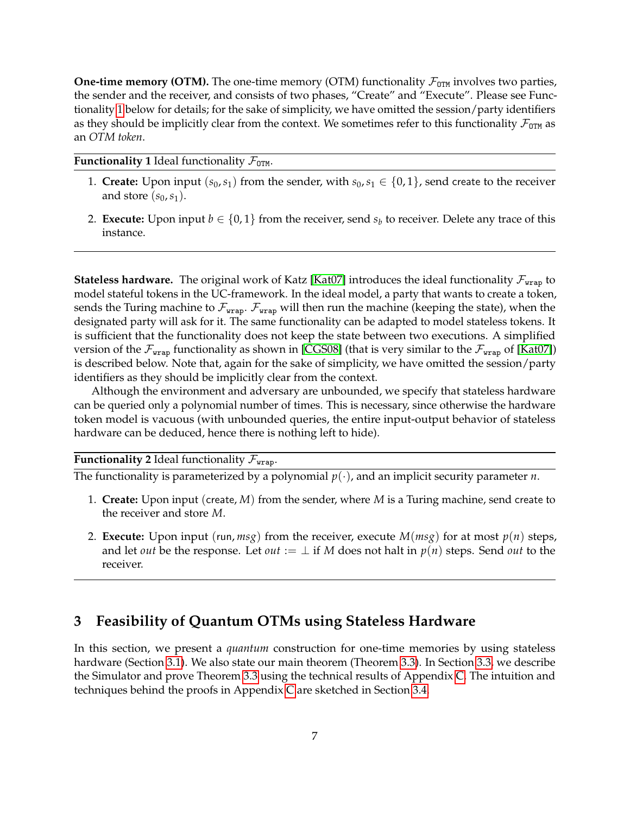**One-time memory (OTM).** The one-time memory (OTM) functionality  $\mathcal{F}_{OTM}$  involves two parties, the sender and the receiver, and consists of two phases, "Create" and "Execute". Please see Functionality [1](#page-6-1) below for details; for the sake of simplicity, we have omitted the session/party identifiers as they should be implicitly clear from the context. We sometimes refer to this functionality  $\mathcal{F}_{OTM}$  as an *OTM token*.

**Functionality 1** Ideal functionality  $\mathcal{F}_{OTM}$ .

- <span id="page-6-1"></span>1. **Create:** Upon input  $(s_0, s_1)$  from the sender, with  $s_0, s_1 \in \{0, 1\}$ , send create to the receiver and store  $(s_0, s_1)$ .
- 2. **Execute:** Upon input  $b \in \{0,1\}$  from the receiver, send  $s_b$  to receiver. Delete any trace of this instance.

**Stateless hardware.** The original work of Katz [\[Kat07\]](#page-31-3) introduces the ideal functionality  $\mathcal{F}_{\text{wrap}}$  to model stateful tokens in the UC-framework. In the ideal model, a party that wants to create a token, sends the Turing machine to  $\mathcal{F}_{\text{wrap}}$ .  $\mathcal{F}_{\text{wrap}}$  will then run the machine (keeping the state), when the designated party will ask for it. The same functionality can be adapted to model stateless tokens. It is sufficient that the functionality does not keep the state between two executions. A simplified version of the  $\mathcal{F}_{\text{wrap}}$  functionality as shown in [\[CGS08\]](#page-30-3) (that is very similar to the  $\mathcal{F}_{\text{wrap}}$  of [\[Kat07\]](#page-31-3)) is described below. Note that, again for the sake of simplicity, we have omitted the session/party identifiers as they should be implicitly clear from the context.

Although the environment and adversary are unbounded, we specify that stateless hardware can be queried only a polynomial number of times. This is necessary, since otherwise the hardware token model is vacuous (with unbounded queries, the entire input-output behavior of stateless hardware can be deduced, hence there is nothing left to hide).

**Functionality 2** Ideal functionality  $\mathcal{F}_{\text{wrap}}$ .

The functionality is parameterized by a polynomial  $p(\cdot)$ , and an implicit security parameter *n*.

- 1. **Create:** Upon input (create, *M*) from the sender, where *M* is a Turing machine, send create to the receiver and store *M*.
- 2. **Execute:** Upon input (run,  $msg$ ) from the receiver, execute  $M(msg)$  for at most  $p(n)$  steps, and let *out* be the response. Let *out* :=  $\perp$  if *M* does not halt in  $p(n)$  steps. Send *out* to the receiver.

# <span id="page-6-0"></span>**3 Feasibility of Quantum OTMs using Stateless Hardware**

In this section, we present a *quantum* construction for one-time memories by using stateless hardware (Section [3.1\)](#page-7-1). We also state our main theorem (Theorem [3.3\)](#page-8-0). In Section [3.3,](#page-8-1) we describe the Simulator and prove Theorem [3.3](#page-8-0) using the technical results of Appendix [C.](#page-18-0) The intuition and techniques behind the proofs in Appendix [C](#page-18-0) are sketched in Section [3.4.](#page-9-0)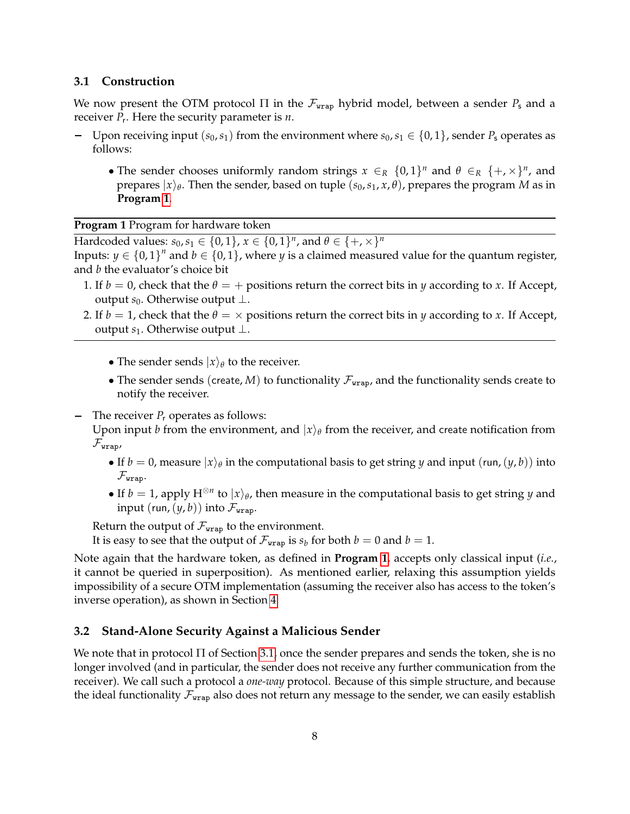#### <span id="page-7-1"></span>**3.1 Construction**

We now present the OTM protocol  $\Pi$  in the  $\mathcal{F}_{\text{trap}}$  hybrid model, between a sender  $P_s$  and a receiver *P*<sup>r</sup> . Here the security parameter is *n*.

- − Upon receiving input  $(s_0, s_1)$  from the environment where  $s_0, s_1 \in \{0, 1\}$ , sender  $P_s$  operates as follows:
	- The sender chooses uniformly random strings  $x \in_R \{0,1\}^n$  and  $\theta \in_R \{+, \times\}^n$ , and prepares  $|x\rangle_\theta$ . Then the sender, based on tuple  $(s_0,s_1,x,\theta)$ , prepares the program *M* as in **Program [1](#page-7-2)**.

**Program 1** Program for hardware token

<span id="page-7-2"></span>Hardcoded values:  $s_0, s_1 \in \{0, 1\}$ ,  $x \in \{0, 1\}^n$ , and  $\theta \in \{+, \times\}^n$ 

Inputs:  $y \in \{0,1\}^n$  and  $b \in \{0,1\}$ , where *y* is a claimed measured value for the quantum register, and *b* the evaluator's choice bit

- 1. If  $b = 0$ , check that the  $\theta = +$  positions return the correct bits in *y* according to *x*. If Accept, output *s*0. Otherwise output ⊥.
- 2. If  $b = 1$ , check that the  $\theta = \times$  positions return the correct bits in *y* according to *x*. If Accept, output *s*1. Otherwise output ⊥.
	- The sender sends  $|x\rangle_\theta$  to the receiver.
	- The sender sends (create, *M*) to functionality  $\mathcal{F}_{\text{wrap}}$ , and the functionality sends create to notify the receiver.

- The receiver *P<sub>r</sub>* operates as follows:

Upon input *b* from the environment, and  $|x\rangle_\theta$  from the receiver, and create notification from  $\mathcal{F}_{\texttt{wrap},\texttt{r}}$ 

- If  $b = 0$ , measure  $|x\rangle_\theta$  in the computational basis to get string *y* and input (run,  $(y, b)$ ) into  $\mathcal{F}_{\text{wran}}$ .
- If  $b = 1$ , apply  $H^{\otimes n}$  to  $|x\rangle_\theta$ , then measure in the computational basis to get string *y* and input  $(run,(y,b))$  into  $\mathcal{F}_{\text{wrap}}$ .

Return the output of  $\mathcal{F}_{\text{wrap}}$  to the environment.

It is easy to see that the output of  $\mathcal{F}_{\text{wrap}}$  is  $s_b$  for both  $b=0$  and  $b=1$ .

Note again that the hardware token, as defined in **Program [1](#page-7-2)**, accepts only classical input (*i.e.*, it cannot be queried in superposition). As mentioned earlier, relaxing this assumption yields impossibility of a secure OTM implementation (assuming the receiver also has access to the token's inverse operation), as shown in Section [4.](#page-13-0)

#### <span id="page-7-0"></span>**3.2 Stand-Alone Security Against a Malicious Sender**

We note that in protocol Π of Section [3.1,](#page-7-1) once the sender prepares and sends the token, she is no longer involved (and in particular, the sender does not receive any further communication from the receiver). We call such a protocol a *one-way* protocol. Because of this simple structure, and because the ideal functionality  $\mathcal{F}_{\text{wrap}}$  also does not return any message to the sender, we can easily establish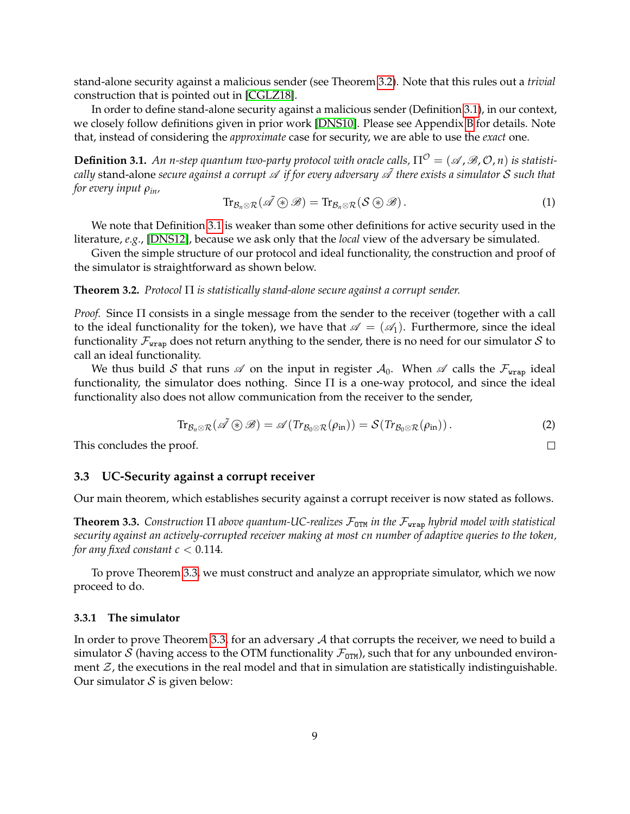stand-alone security against a malicious sender (see Theorem [3.2\)](#page-8-2). Note that this rules out a *trivial* construction that is pointed out in [\[CGLZ18\]](#page-30-6).

In order to define stand-alone security against a malicious sender (Definition [3.1\)](#page-8-3), in our context, we closely follow definitions given in prior work [\[DNS10\]](#page-30-9). Please see Appendix [B](#page-17-0) for details. Note that, instead of considering the *approximate* case for security, we are able to use the *exact* one.

<span id="page-8-3"></span>**Definition 3.1.** An *n*-step quantum two-party protocol with oracle calls,  $\Pi^{\mathcal{O}} = (\mathcal{A}, \mathcal{B}, \mathcal{O}, n)$  is statisti*cally* stand-alone *secure against a corrupt*  $\mathscr A$  *if for every adversary*  $\mathscr A$  *there exists a simulator*  $S$  *such that for every input ρin,*

$$
\mathrm{Tr}_{\mathcal{B}_n \otimes \mathcal{R}}(\tilde{\mathscr{A}} \circledast \mathscr{B}) = \mathrm{Tr}_{\mathcal{B}_n \otimes \mathcal{R}}(\mathcal{S} \circledast \mathscr{B}). \tag{1}
$$

We note that Definition [3.1](#page-8-3) is weaker than some other definitions for active security used in the literature, *e.g.*, [\[DNS12\]](#page-30-10), because we ask only that the *local* view of the adversary be simulated.

Given the simple structure of our protocol and ideal functionality, the construction and proof of the simulator is straightforward as shown below.

#### <span id="page-8-2"></span>**Theorem 3.2.** *Protocol* Π *is statistically stand-alone secure against a corrupt sender.*

*Proof.* Since Π consists in a single message from the sender to the receiver (together with a call to the ideal functionality for the token), we have that  $\mathscr{A} = (\mathscr{A}_1)$ . Furthermore, since the ideal functionality  $\mathcal{F}_{\text{wrap}}$  does not return anything to the sender, there is no need for our simulator S to call an ideal functionality.

We thus build S that runs  $\mathscr A$  on the input in register  $\mathcal A_0$ . When  $\mathscr A$  calls the  $\mathcal F_{\mathtt{wrap}}$  ideal functionality, the simulator does nothing. Since Π is a one-way protocol, and since the ideal functionality also does not allow communication from the receiver to the sender,

$$
\mathrm{Tr}_{\mathcal{B}_n \otimes \mathcal{R}}(\tilde{\mathscr{A}} \circledast \mathscr{B}) = \mathscr{A}(\mathrm{Tr}_{\mathcal{B}_0 \otimes \mathcal{R}}(\rho_{\mathrm{in}})) = \mathcal{S}(\mathrm{Tr}_{\mathcal{B}_0 \otimes \mathcal{R}}(\rho_{\mathrm{in}})). \tag{2}
$$

 $\Box$ 

This concludes the proof.

#### <span id="page-8-1"></span>**3.3 UC-Security against a corrupt receiver**

Our main theorem, which establishes security against a corrupt receiver is now stated as follows.

<span id="page-8-0"></span>**Theorem 3.3.** *Construction*  $\Pi$  *above quantum-UC-realizes*  $\mathcal{F}_{\text{OTM}}$  *in the*  $\mathcal{F}_{\text{wrap}}$  *hybrid model with statistical security against an actively-corrupted receiver making at most cn number of adaptive queries to the token, for any fixed constant*  $c < 0.114$ *.* 

To prove Theorem [3.3,](#page-8-0) we must construct and analyze an appropriate simulator, which we now proceed to do.

#### **3.3.1 The simulator**

In order to prove Theorem [3.3,](#page-8-0) for an adversary  $A$  that corrupts the receiver, we need to build a simulator S (having access to the OTM functionality  $\mathcal{F}_{\text{OTM}}$ ), such that for any unbounded environment  $\mathcal{Z}$ , the executions in the real model and that in simulation are statistically indistinguishable. Our simulator  $S$  is given below: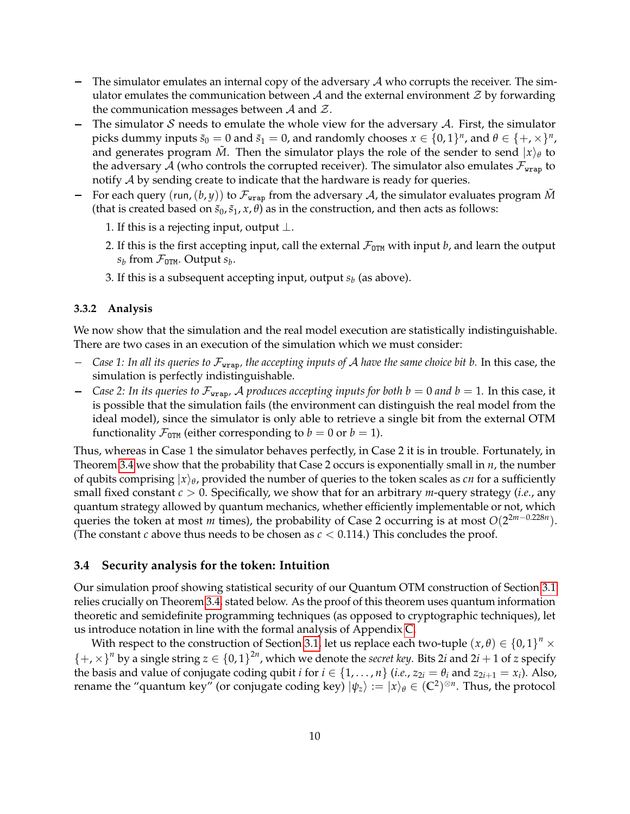- The simulator emulates an internal copy of the adversary  $A$  who corrupts the receiver. The simulator emulates the communication between  $A$  and the external environment  $\mathcal Z$  by forwarding the communication messages between  $A$  and  $\mathcal{Z}$ .
- The simulator S needs to emulate the whole view for the adversary  $A$ . First, the simulator picks dummy inputs  $\tilde{s}_0 = 0$  and  $\tilde{s}_1 = 0$ , and randomly chooses  $x \in \{0,1\}^n$ , and  $\theta \in \{+, \times\}^n$ , and generates program  $\tilde{M}$ . Then the simulator plays the role of the sender to send  $|x\rangle_{\theta}$  to the adversary A (who controls the corrupted receiver). The simulator also emulates  $\mathcal{F}_{\text{wrap}}$  to notify A by sending create to indicate that the hardware is ready for queries.
- For each query (run,  $(b, y)$ ) to  $\mathcal{F}_{\text{wrap}}$  from the adversary A, the simulator evaluates program  $\tilde{M}$ (that is created based on  $\tilde{s}_0$ ,  $\tilde{s}_1$ ,  $x$ ,  $\theta$ ) as in the construction, and then acts as follows:
	- 1. If this is a rejecting input, output  $\perp$ .
	- 2. If this is the first accepting input, call the external  $\mathcal{F}_{\text{OTM}}$  with input *b*, and learn the output  $s_b$  from  $\mathcal{F}_{\texttt{OTM}}$ . Output  $s_b$ .
	- 3. If this is a subsequent accepting input*,* output  $s_b$  (as above).

#### **3.3.2 Analysis**

We now show that the simulation and the real model execution are statistically indistinguishable. There are two cases in an execution of the simulation which we must consider:

- *Case 1: In all its queries to* Fwrap*, the accepting inputs of* A *have the same choice bit b.* In this case, the simulation is perfectly indistinguishable.
- *Case 2: In its queries to*  $\mathcal{F}_{\text{wrap}}$ , A *produces accepting inputs for both*  $b = 0$  *and*  $b = 1$ . In this case, it is possible that the simulation fails (the environment can distinguish the real model from the ideal model), since the simulator is only able to retrieve a single bit from the external OTM functionality  $\mathcal{F}_{\text{OTM}}$  (either corresponding to  $b = 0$  or  $b = 1$ ).

Thus, whereas in Case 1 the simulator behaves perfectly, in Case 2 it is in trouble. Fortunately, in Theorem [3.4](#page-10-0) we show that the probability that Case 2 occurs is exponentially small in *n*, the number of qubits comprising  $|x\rangle_\theta$ , provided the number of queries to the token scales as *cn* for a sufficiently small fixed constant *c* > 0. Specifically, we show that for an arbitrary *m*-query strategy (*i.e.*, any quantum strategy allowed by quantum mechanics, whether efficiently implementable or not, which queries the token at most *m* times), the probability of Case 2 occurring is at most  $O(2^{2m-0.228n})$ . (The constant *c* above thus needs to be chosen as  $c < 0.114$ .) This concludes the proof.

#### <span id="page-9-0"></span>**3.4 Security analysis for the token: Intuition**

Our simulation proof showing statistical security of our Quantum OTM construction of Section [3.1](#page-7-1) relies crucially on Theorem [3.4,](#page-10-0) stated below. As the proof of this theorem uses quantum information theoretic and semidefinite programming techniques (as opposed to cryptographic techniques), let us introduce notation in line with the formal analysis of Appendix [C.](#page-18-0)

With respect to the construction of Section [3.1,](#page-7-1) let us replace each two-tuple  $(x, \theta) \in \{0, 1\}^n \times$  $\{+, \times\}^n$  by a single string  $z \in \{0, 1\}^{2n}$ , which we denote the *secret key*. Bits 2*i* and 2*i* + 1 of *z* specify the basis and value of conjugate coding qubit *i* for  $i \in \{1, ..., n\}$  (*i.e.*,  $z_{2i} = \theta_i$  and  $z_{2i+1} = x_i$ ). Also, rename the "quantum key" (or conjugate coding key)  $|\psi_z\rangle := |x\rangle_\theta \in (\mathbb{C}^2)^{\otimes n}$ . Thus, the protocol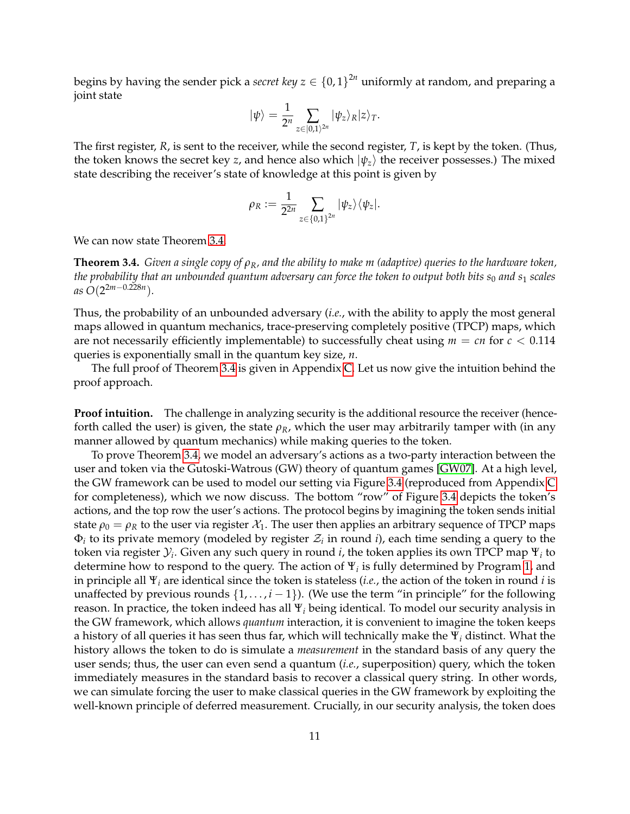begins by having the sender pick a *secret key*  $z \in \{0,1\}^{2n}$  uniformly at random, and preparing a joint state

$$
|\psi\rangle = \frac{1}{2^n} \sum_{z \in [0,1)^{2n}} |\psi_z\rangle_R |z\rangle_T.
$$

The first register, *R*, is sent to the receiver, while the second register, *T*, is kept by the token. (Thus, the token knows the secret key *z*, and hence also which  $|\psi_z\rangle$  the receiver possesses.) The mixed state describing the receiver's state of knowledge at this point is given by

$$
\rho_R := \frac{1}{2^{2n}} \sum_{z \in \{0,1\}^{2n}} |\psi_z\rangle\langle\psi_z|.
$$

We can now state Theorem [3.4.](#page-10-0)

<span id="page-10-0"></span>**Theorem 3.4.** *Given a single copy of ρR, and the ability to make m (adaptive) queries to the hardware token, the probability that an unbounded quantum adversary can force the token to output both bits*  $s_0$  *and*  $s_1$  *scales as O*(2 2*m*−0.228*n* )*.*

Thus, the probability of an unbounded adversary (*i.e.*, with the ability to apply the most general maps allowed in quantum mechanics, trace-preserving completely positive (TPCP) maps, which are not necessarily efficiently implementable) to successfully cheat using  $m = cn$  for  $c < 0.114$ queries is exponentially small in the quantum key size, *n*.

The full proof of Theorem [3.4](#page-10-0) is given in Appendix [C.](#page-18-0) Let us now give the intuition behind the proof approach.

**Proof intuition.** The challenge in analyzing security is the additional resource the receiver (henceforth called the user) is given, the state *ρR*, which the user may arbitrarily tamper with (in any manner allowed by quantum mechanics) while making queries to the token.

To prove Theorem [3.4,](#page-10-0) we model an adversary's actions as a two-party interaction between the user and token via the Gutoski-Watrous (GW) theory of quantum games [\[GW07\]](#page-31-7). At a high level, the GW framework can be used to model our setting via Figure [3.4](#page-11-0) (reproduced from Appendix [C](#page-18-0) for completeness), which we now discuss. The bottom "row" of Figure [3.4](#page-11-0) depicts the token's actions, and the top row the user's actions. The protocol begins by imagining the token sends initial state  $\rho_0 = \rho_R$  to the user via register  $\mathcal{X}_1$ . The user then applies an arbitrary sequence of TPCP maps  $\Phi_i$  to its private memory (modeled by register  $\mathcal{Z}_i$  in round *i*), each time sending a query to the token via register  $\mathcal{Y}_i$ . Given any such query in round  $i$ , the token applies its own TPCP map  $\Psi_i$  to determine how to respond to the query. The action of Ψ*<sup>i</sup>* is fully determined by Program [1,](#page-7-2) and in principle all Ψ*<sup>i</sup>* are identical since the token is stateless (*i.e.*, the action of the token in round *i* is unaffected by previous rounds  $\{1, \ldots, i-1\}$ ). (We use the term "in principle" for the following reason. In practice, the token indeed has all Ψ*<sup>i</sup>* being identical. To model our security analysis in the GW framework, which allows *quantum* interaction, it is convenient to imagine the token keeps a history of all queries it has seen thus far, which will technically make the Ψ*<sup>i</sup>* distinct. What the history allows the token to do is simulate a *measurement* in the standard basis of any query the user sends; thus, the user can even send a quantum (*i.e.*, superposition) query, which the token immediately measures in the standard basis to recover a classical query string. In other words, we can simulate forcing the user to make classical queries in the GW framework by exploiting the well-known principle of deferred measurement. Crucially, in our security analysis, the token does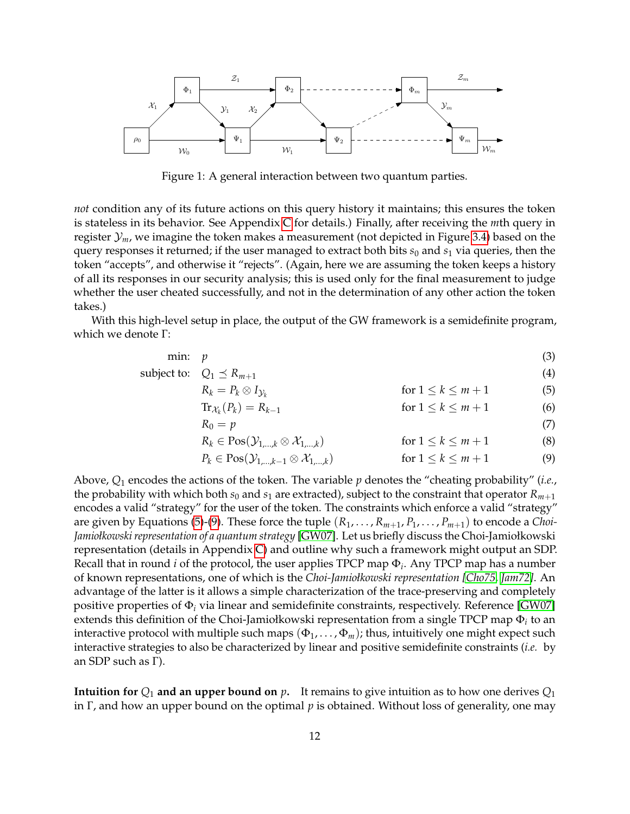

<span id="page-11-0"></span>Figure 1: A general interaction between two quantum parties.

*not* condition any of its future actions on this query history it maintains; this ensures the token is stateless in its behavior. See Appendix [C](#page-18-0) for details.) Finally, after receiving the *m*th query in register  $\mathcal{Y}_m$ , we imagine the token makes a measurement (not depicted in Figure [3.4\)](#page-11-0) based on the query responses it returned; if the user managed to extract both bits  $s_0$  and  $s_1$  via queries, then the token "accepts", and otherwise it "rejects". (Again, here we are assuming the token keeps a history of all its responses in our security analysis; this is used only for the final measurement to judge whether the user cheated successfully, and not in the determination of any other action the token takes.)

With this high-level setup in place, the output of the GW framework is a semidefinite program, which we denote Γ:

$$
\min: \quad p \tag{3}
$$

subject to:  $Q_1 \le R_{m+1}$  (4)

$$
R_k = P_k \otimes I_{\mathcal{Y}_k} \qquad \text{for } 1 \le k \le m+1 \qquad (5)
$$
  
Tr<sub>k</sub> (P\_k) = R<sub>k-1</sub> \qquad \text{for } 1 \le k \le m+1 \qquad (6)

<span id="page-11-4"></span><span id="page-11-3"></span><span id="page-11-2"></span><span id="page-11-1"></span>
$$
\operatorname{tr}_{\mathcal{X}_k}(P_k) = R_{k-1} \tag{6}
$$
\n
$$
\operatorname{for} \, 1 \le k \le m+1 \tag{6}
$$

$$
R_0 = p \tag{7}
$$

$$
R_k \in \text{Pos}(\mathcal{Y}_{1,\dots,k} \otimes \mathcal{X}_{1,\dots,k}) \qquad \text{for } 1 \le k \le m+1 \qquad (8)
$$
  

$$
P_k \in \text{Pos}(\mathcal{Y}_{1,\dots,k-1} \otimes \mathcal{X}_{1,\dots,k}) \qquad \text{for } 1 \le k \le m+1 \qquad (9)
$$

Above, *Q*<sup>1</sup> encodes the actions of the token. The variable *p* denotes the "cheating probability" (*i.e.*, the probability with which both  $s_0$  and  $s_1$  are extracted), subject to the constraint that operator  $R_{m+1}$ encodes a valid "strategy" for the user of the token. The constraints which enforce a valid "strategy" are given by Equations [\(5\)](#page-11-1)-[\(9\)](#page-11-2). These force the tuple  $(R_1, \ldots, R_{m+1}, P_1, \ldots, P_{m+1})$  to encode a *Choi*-*Jamiołkowski representation of a quantum strategy* [\[GW07\]](#page-31-7). Let us briefly discuss the Choi-Jamiołkowski representation (details in Appendix [C\)](#page-18-0) and outline why such a framework might output an SDP. Recall that in round *i* of the protocol, the user applies TPCP map Φ*<sup>i</sup>* . Any TPCP map has a number of known representations, one of which is the *Choi-Jamiołkowski representation [\[Cho75,](#page-30-11) [Jam72\]](#page-31-9)*. An advantage of the latter is it allows a simple characterization of the trace-preserving and completely positive properties of Φ*<sup>i</sup>* via linear and semidefinite constraints, respectively. Reference [\[GW07\]](#page-31-7) extends this definition of the Choi-Jamiołkowski representation from a single TPCP map Φ*<sup>i</sup>* to an interactive protocol with multiple such maps  $(\Phi_1, \ldots, \Phi_m)$ ; thus, intuitively one might expect such interactive strategies to also be characterized by linear and positive semidefinite constraints (*i.e.* by an SDP such as Γ).

**Intuition for**  $Q_1$  **and an upper bound on**  $p$ . It remains to give intuition as to how one derives  $Q_1$ in Γ, and how an upper bound on the optimal *p* is obtained. Without loss of generality, one may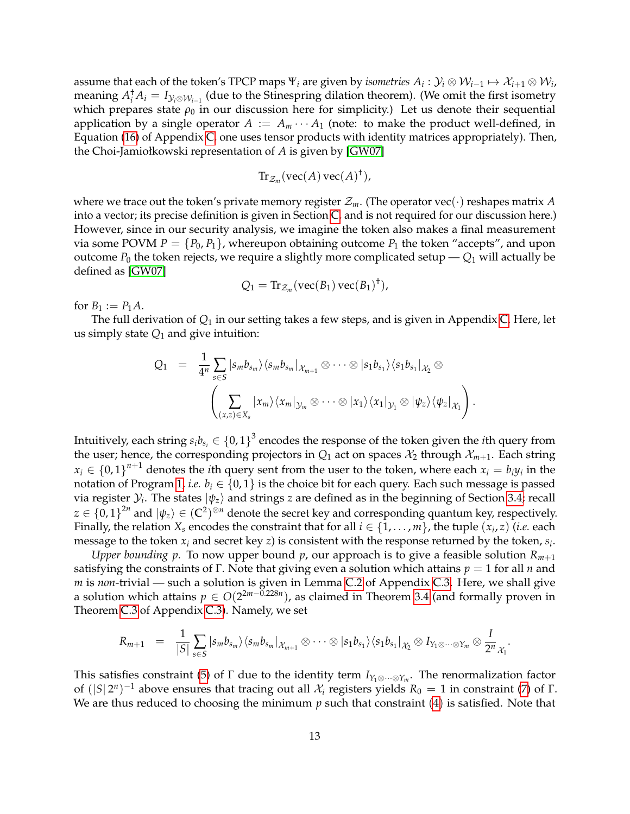assume that each of the token's TPCP maps  $\Psi_i$  are given by *isometries*  $A_i: \mathcal{Y}_i\otimes\mathcal{W}_{i-1}\mapsto\mathcal{X}_{i+1}\otimes\mathcal{W}_i$ *,* meaning  $A_i^{\dagger}A_i=I_{{\cal Y}_i\otimes{\cal W}_{i-1}}$  (due to the Stinespring dilation theorem). (We omit the first isometry which prepares state  $\rho_0$  in our discussion here for simplicity.) Let us denote their sequential application by a single operator  $A := A_m \cdots A_1$  (note: to make the product well-defined, in Equation [\(16\)](#page-20-0) of Appendix [C,](#page-18-0) one uses tensor products with identity matrices appropriately). Then, the Choi-Jamiołkowski representation of *A* is given by [\[GW07\]](#page-31-7)

$$
\mathrm{Tr}_{\mathcal{Z}_m}(\mathrm{vec}(A)\,\mathrm{vec}(A)^\dagger),
$$

where we trace out the token's private memory register  $\mathcal{Z}_m$ . (The operator vec( $\cdot$ ) reshapes matrix *A* into a vector; its precise definition is given in Section [C,](#page-18-0) and is not required for our discussion here.) However, since in our security analysis, we imagine the token also makes a final measurement via some POVM  $P = \{P_0, P_1\}$ , whereupon obtaining outcome  $P_1$  the token "accepts", and upon outcome  $P_0$  the token rejects, we require a slightly more complicated setup  $-Q_1$  will actually be defined as [\[GW07\]](#page-31-7)

$$
Q_1 = \text{Tr}_{\mathcal{Z}_m}(\text{vec}(B_1)\,\text{vec}(B_1)^{\dagger}),
$$

for  $B_1 := P_1 A$ .

The full derivation of *Q*<sup>1</sup> in our setting takes a few steps, and is given in Appendix [C.](#page-18-0) Here, let us simply state  $Q_1$  and give intuition:

$$
Q_1 = \frac{1}{4^n} \sum_{s \in S} |s_m b_{s_m} \rangle \langle s_m b_{s_m} |_{\mathcal{X}_{m+1}} \otimes \cdots \otimes |s_1 b_{s_1} \rangle \langle s_1 b_{s_1} |_{\mathcal{X}_2} \otimes
$$

$$
\left( \sum_{(x,z) \in X_s} |x_m \rangle \langle x_m |_{\mathcal{Y}_m} \otimes \cdots \otimes |x_1 \rangle \langle x_1 |_{\mathcal{Y}_1} \otimes |\psi_z \rangle \langle \psi_z |_{\mathcal{X}_1} \right).
$$

Intuitively, each string  $s_ib_{s_i} \in \{0,1\}^3$  encodes the response of the token given the *i*th query from the user; hence, the corresponding projectors in  $Q_1$  act on spaces  $\mathcal{X}_2$  through  $\mathcal{X}_{m+1}$ . Each string  $x_i \in \{0,1\}^{n+1}$  denotes the *i*th query sent from the user to the token, where each  $x_i = b_i y_i$  in the notation of Program [1,](#page-7-2) *i.e.*  $b_i \in \{0,1\}$  is the choice bit for each query. Each such message is passed via register  $\mathcal{Y}_i$ . The states  $\ket{\psi_z}$  and strings  $z$  are defined as in the beginning of Section [3.4;](#page-9-0) recall  $z\in\{0,1\}^{2n}$  and  $\ket{\psi_z}\in(\mathbb{C}^2)^{\otimes n}$  denote the secret key and corresponding quantum key, respectively. Finally, the relation  $X_s$  encodes the constraint that for all  $i \in \{1,\ldots,m\}$ , the tuple  $(x_i,z)$  (*i.e.* each message to the token *x<sup>i</sup>* and secret key *z*) is consistent with the response returned by the token, *s<sup>i</sup>* .

*Upper bounding p.* To now upper bound *p*, our approach is to give a feasible solution *Rm*+<sup>1</sup> satisfying the constraints of Γ. Note that giving even a solution which attains *p* = 1 for all *n* and *m* is *non*-trivial — such a solution is given in Lemma [C.2](#page-24-0) of Appendix [C.3.](#page-20-1) Here, we shall give a solution which attains *p* ∈ *O*(2 2*m*−0.228*n* ), as claimed in Theorem [3.4](#page-10-0) (and formally proven in Theorem [C.3](#page-25-0) of Appendix [C.3\)](#page-20-1). Namely, we set

$$
R_{m+1} \;\; = \;\; \frac{1}{|S|} \sum_{s \in S} |s_m b_{s_m} \rangle \langle s_m b_{s_m} |_{\mathcal{X}_{m+1}} \otimes \cdots \otimes |s_1 b_{s_1} \rangle \langle s_1 b_{s_1} |_{\mathcal{X}_2} \otimes I_{Y_1 \otimes \cdots \otimes Y_m} \otimes \frac{I}{2^n}_{\mathcal{X}_1}.
$$

This satisfies constraint [\(5\)](#page-11-1) of  $\Gamma$  due to the identity term  $I_{Y_1\otimes\cdots\otimes Y_m}$ . The renormalization factor of  $(|S|2^n)^{-1}$  above ensures that tracing out all  $\mathcal{X}_i$  registers yields  $R_0 = 1$  in constraint [\(7\)](#page-11-3) of Γ. We are thus reduced to choosing the minimum *p* such that constraint ([4](#page-11-4)) is satisfied. Note that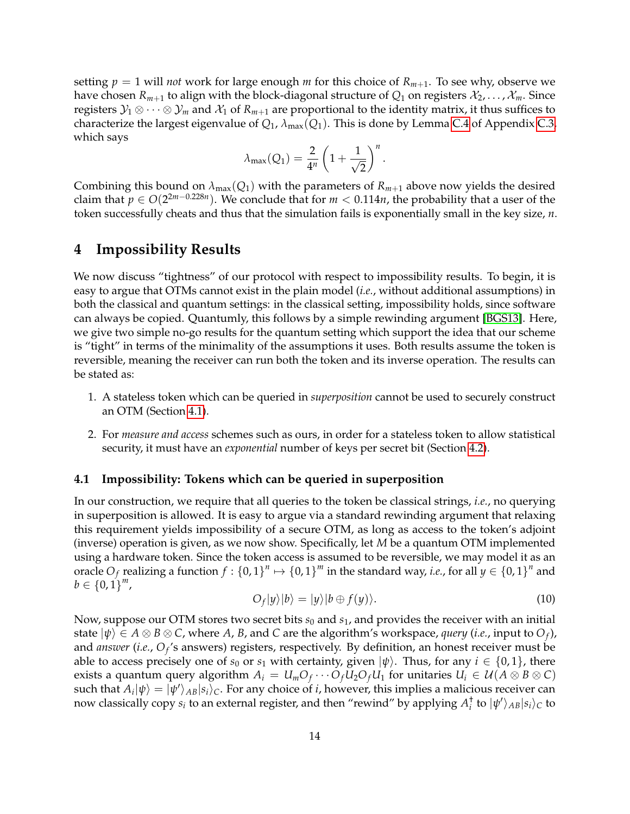setting  $p = 1$  will *not* work for large enough *m* for this choice of  $R_{m+1}$ . To see why, observe we have chosen  $R_{m+1}$  to align with the block-diagonal structure of  $Q_1$  on registers  $\mathcal{X}_2, \ldots, \mathcal{X}_m$ . Since registers  $\mathcal{Y}_1 \otimes \cdots \otimes \mathcal{Y}_m$  and  $\mathcal{X}_1$  of  $R_{m+1}$  are proportional to the identity matrix, it thus suffices to characterize the largest eigenvalue of  $Q_1$ ,  $\lambda_{\text{max}}(Q_1)$ . This is done by Lemma [C.4](#page-26-0) of Appendix [C.3,](#page-20-1) which says

$$
\lambda_{\text{max}}(Q_1) = \frac{2}{4^n}\left(1+\frac{1}{\sqrt{2}}\right)^n.
$$

Combining this bound on  $\lambda_{\text{max}}(Q_1)$  with the parameters of  $R_{m+1}$  above now yields the desired claim that  $p \in O(2^{2m-0.228n})$ . We conclude that for  $m < 0.114n$ , the probability that a user of the token successfully cheats and thus that the simulation fails is exponentially small in the key size, *n*.

# <span id="page-13-0"></span>**4 Impossibility Results**

We now discuss "tightness" of our protocol with respect to impossibility results. To begin, it is easy to argue that OTMs cannot exist in the plain model (*i.e.*, without additional assumptions) in both the classical and quantum settings: in the classical setting, impossibility holds, since software can always be copied. Quantumly, this follows by a simple rewinding argument [\[BGS13\]](#page-29-3). Here, we give two simple no-go results for the quantum setting which support the idea that our scheme is "tight" in terms of the minimality of the assumptions it uses. Both results assume the token is reversible, meaning the receiver can run both the token and its inverse operation. The results can be stated as:

- 1. A stateless token which can be queried in *superposition* cannot be used to securely construct an OTM (Section [4.1\)](#page-13-1).
- 2. For *measure and access* schemes such as ours, in order for a stateless token to allow statistical security, it must have an *exponential* number of keys per secret bit (Section [4.2\)](#page-14-0).

#### <span id="page-13-1"></span>**4.1 Impossibility: Tokens which can be queried in superposition**

In our construction, we require that all queries to the token be classical strings, *i.e.*, no querying in superposition is allowed. It is easy to argue via a standard rewinding argument that relaxing this requirement yields impossibility of a secure OTM, as long as access to the token's adjoint (inverse) operation is given, as we now show. Specifically, let *M* be a quantum OTM implemented using a hardware token. Since the token access is assumed to be reversible, we may model it as an oracle  $O_f$  realizing a function  $f:\{0,1\}^n \mapsto \{0,1\}^m$  in the standard way, *i.e.*, for all  $y \in \{0,1\}^n$  and  $b \in \{0, 1\}^m$ ,

$$
O_f|y\rangle|b\rangle = |y\rangle|b \oplus f(y)\rangle. \tag{10}
$$

Now, suppose our OTM stores two secret bits *s*<sup>0</sup> and *s*1, and provides the receiver with an initial state  $|\psi\rangle\in A\otimes B\otimes C$ , where  $A$ ,  $B$ , and  $C$  are the algorithm's workspace, *query (i.e.*, input to  $O_f$ ), and *answer (i.e., O<sub>f</sub>'s answers) registers, respectively. By definition, an honest receiver must be* able to access precisely one of  $s_0$  or  $s_1$  with certainty, given  $|\psi\rangle$ . Thus, for any  $i \in \{0,1\}$ , there exists a quantum query algorithm  $A_i = U_mO_f \cdots O_fU_2O_fU_1$  for unitaries  $U_i \in \mathcal{U}(A \otimes B \otimes C)$  $\text{such that } A_i|\psi\rangle = |\psi'\rangle_{AB}|s_i\rangle_C.$  For any choice of  $i$ , however, this implies a malicious receiver can now classically copy  $s_i$  to an external register, and then "rewind" by applying  $A_i^{\dagger}$  to  $|\psi'\rangle_{AB}|s_i\rangle_C$  to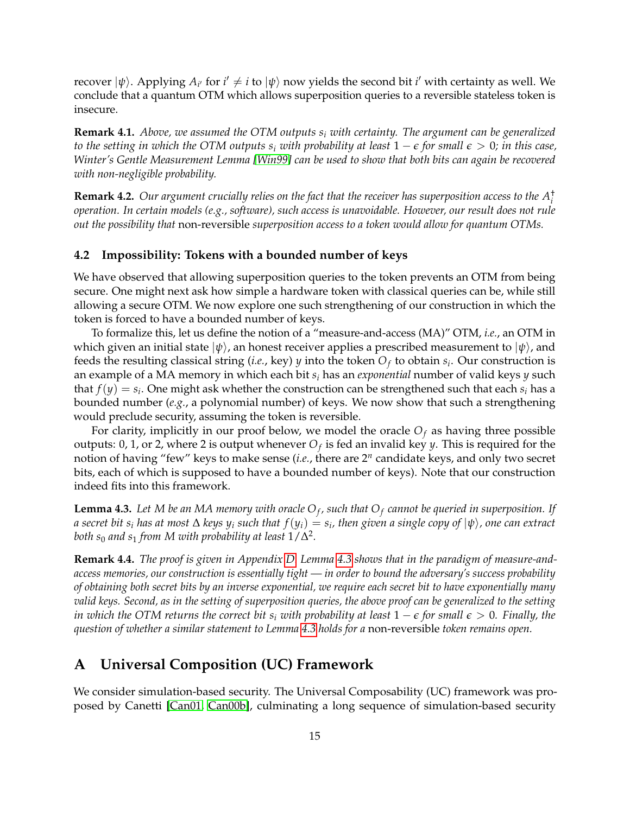recover  $|\psi\rangle$ . Applying  $A_{i'}$  for  $i'\neq i$  to  $|\psi\rangle$  now yields the second bit  $i'$  with certainty as well. We conclude that a quantum OTM which allows superposition queries to a reversible stateless token is insecure.

**Remark 4.1.** *Above, we assumed the OTM outputs s<sup>i</sup> with certainty. The argument can be generalized to the setting in which the OTM outputs*  $s_i$  *with probability at least*  $1 - \epsilon$  *for small*  $\epsilon > 0$ *; in this case*, *Winter's Gentle Measurement Lemma [\[Win99\]](#page-33-10) can be used to show that both bits can again be recovered with non-negligible probability.*

**Remark 4.2.** *Our argument crucially relies on the fact that the receiver has superposition access to the A*† *i operation. In certain models (e.g., software), such access is unavoidable. However, our result does not rule out the possibility that* non-reversible *superposition access to a token would allow for quantum OTMs.*

#### <span id="page-14-0"></span>**4.2 Impossibility: Tokens with a bounded number of keys**

We have observed that allowing superposition queries to the token prevents an OTM from being secure. One might next ask how simple a hardware token with classical queries can be, while still allowing a secure OTM. We now explore one such strengthening of our construction in which the token is forced to have a bounded number of keys.

To formalize this, let us define the notion of a "measure-and-access (MA)" OTM, *i.e.*, an OTM in which given an initial state  $|\psi\rangle$ , an honest receiver applies a prescribed measurement to  $|\psi\rangle$ , and feeds the resulting classical string (*i.e.*, key) *y* into the token *O<sup>f</sup>* to obtain *s<sup>i</sup>* . Our construction is an example of a MA memory in which each bit *s<sup>i</sup>* has an *exponential* number of valid keys *y* such that  $f(y) = s_i$ . One might ask whether the construction can be strengthened such that each  $s_i$  has a bounded number (*e.g.*, a polynomial number) of keys. We now show that such a strengthening would preclude security, assuming the token is reversible.

For clarity, implicitly in our proof below, we model the oracle  $O_f$  as having three possible outputs: 0, 1, or 2, where 2 is output whenever  $O_f$  is fed an invalid key *y*. This is required for the notion of having "few" keys to make sense (*i.e.*, there are 2*<sup>n</sup>* candidate keys, and only two secret bits, each of which is supposed to have a bounded number of keys). Note that our construction indeed fits into this framework.

<span id="page-14-2"></span> ${\bf Lemma 4.3.}$  Let  $M$  be an  $MA$  memory with oracle  ${\rm O}_f$ , such that  ${\rm O}_f$  cannot be queried in superposition. If  $a$  secret bit  $s_i$  has at most  $\Delta$  keys  $y_i$  such that  $f(y_i)=s_i$ , then given a single copy of  $|\psi\rangle$ , one can extract both  $s_0$  and  $s_1$  *from M with probability at least*  $1/\Delta^2$ .

**Remark 4.4.** *The proof is given in Appendix [D.](#page-28-0) Lemma [4.3](#page-14-2) shows that in the paradigm of measure-andaccess memories, our construction is essentially tight — in order to bound the adversary's success probability of obtaining both secret bits by an inverse exponential, we require each secret bit to have exponentially many valid keys. Second, as in the setting of superposition queries, the above proof can be generalized to the setting in which the OTM returns the correct bit*  $s_i$  *with probability at least*  $1 - \epsilon$  *for small*  $\epsilon > 0$ *. Finally, the question of whether a similar statement to Lemma [4.3](#page-14-2) holds for a* non-reversible *token remains open.*

# <span id="page-14-1"></span>**A Universal Composition (UC) Framework**

We consider simulation-based security. The Universal Composability (UC) framework was proposed by Canetti [\[Can01,](#page-29-2) [Can00b\]](#page-29-10), culminating a long sequence of simulation-based security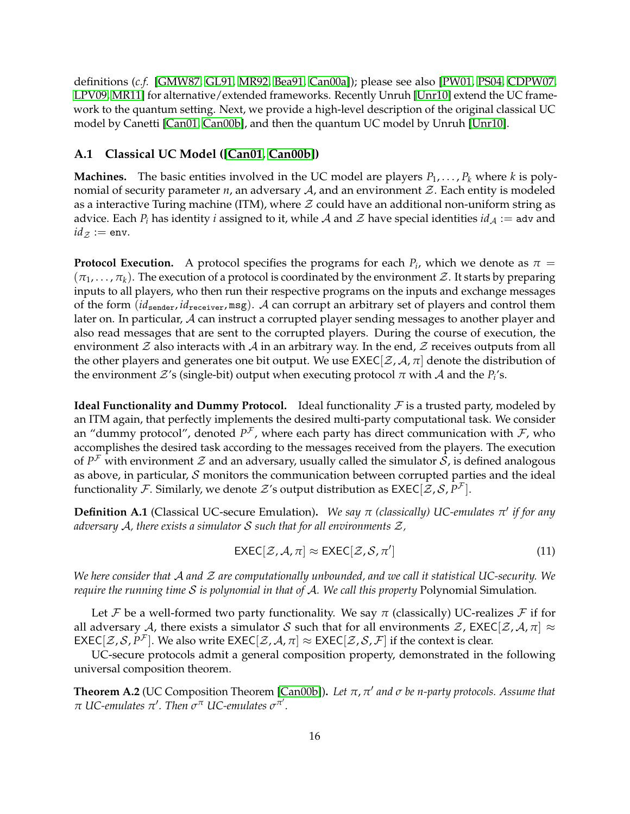definitions (*c.f.* [\[GMW87,](#page-31-10) [GL91,](#page-31-11) [MR92,](#page-32-11) [Bea91,](#page-29-11) [Can00a\]](#page-29-12)); please see also [\[PW01,](#page-33-11) [PS04,](#page-33-12) [CDPW07,](#page-30-12) [LPV09,](#page-32-2) [MR11\]](#page-32-5) for alternative/extended frameworks. Recently Unruh [\[Unr10\]](#page-33-4) extend the UC framework to the quantum setting. Next, we provide a high-level description of the original classical UC model by Canetti [\[Can01,](#page-29-2) [Can00b\]](#page-29-10), and then the quantum UC model by Unruh [\[Unr10\]](#page-33-4).

#### **A.1 Classical UC Model ([\[Can01,](#page-29-2) [Can00b\]](#page-29-10))**

**Machines.** The basic entities involved in the UC model are players  $P_1, \ldots, P_k$  where *k* is polynomial of security parameter  $n$ , an adversary  $A$ , and an environment  $Z$ . Each entity is modeled as a interactive Turing machine (ITM), where  $\mathcal Z$  could have an additional non-uniform string as advice. Each  $P_i$  has identity *i* assigned to it, while A and Z have special identities  $id_A :=$  adv and  $id_Z := env.$ 

**Protocol Execution.** A protocol specifies the programs for each  $P_i$ , which we denote as  $\pi$  $(\pi_1, \ldots, \pi_k)$ . The execution of a protocol is coordinated by the environment Z. It starts by preparing inputs to all players, who then run their respective programs on the inputs and exchange messages of the form (*id*sender, *id*receiver, msg). A can corrupt an arbitrary set of players and control them later on. In particular, A can instruct a corrupted player sending messages to another player and also read messages that are sent to the corrupted players. During the course of execution, the environment  $\mathcal Z$  also interacts with  $\mathcal A$  in an arbitrary way. In the end,  $\mathcal Z$  receives outputs from all the other players and generates one bit output. We use  $EXEC[\mathcal{Z}, \mathcal{A}, \pi]$  denote the distribution of the environment  $\mathcal{Z}'$ s (single-bit) output when executing protocol  $\pi$  with  $\mathcal A$  and the  $P_i$ 's.

**Ideal Functionality and Dummy Protocol.** Ideal functionality  $F$  is a trusted party, modeled by an ITM again, that perfectly implements the desired multi-party computational task. We consider an "dummy protocol", denoted  $P^{\mathcal{F}}$ , where each party has direct communication with  $\mathcal{F}$ , who accomplishes the desired task according to the messages received from the players. The execution of  $P^{\mathcal{F}}$  with environment  $\mathcal Z$  and an adversary, usually called the simulator  $\mathcal S$ , is defined analogous as above, in particular,  $S$  monitors the communication between corrupted parties and the ideal functionality  ${\cal F}.$  Similarly, we denote  ${\cal Z}^{\prime}$ s output distribution as  $\mathsf{EXEC}[\tilde{\cal Z}, {\cal S}, P^{\cal F}].$ 

**Definition A.1** (Classical UC-secure Emulation)**.** *We say π (classically) UC-emulates π* 0 *if for any adversary* A*, there exists a simulator* S *such that for all environments* Z*,*

$$
\text{EXEC}[\mathcal{Z}, \mathcal{A}, \pi] \approx \text{EXEC}[\mathcal{Z}, \mathcal{S}, \pi'] \tag{11}
$$

*We here consider that* A *and* Z *are computationally unbounded, and we call it statistical UC-security. We require the running time* S *is polynomial in that of* A*. We call this property* Polynomial Simulation*.*

Let F be a well-formed two party functionality. We say  $\pi$  (classically) UC-realizes F if for all adversary A, there exists a simulator S such that for all environments  $\mathcal{Z}$ , EXEC[ $\mathcal{Z}$ , A,  $\pi$ ]  $\approx$  $\mathsf{EXEC}[\mathcal{Z},\mathcal{S},P^{\mathcal{F}}].$  We also write  $\mathsf{EXEC}[\mathcal{Z},\mathcal{A},\pi]\approx \mathsf{EXEC}[\mathcal{Z},\mathcal{S},\mathcal{F}]$  if the context is clear.

UC-secure protocols admit a general composition property, demonstrated in the following universal composition theorem.

**Theorem A.2** (UC Composition Theorem [\[Can00b\]](#page-29-10))**.** *Let π*, *π* 0 *and σ be n-party protocols. Assume that*  $\pi$  UC-emulates  $\pi'$ . Then  $\sigma^{\pi}$  UC-emulates  $\sigma^{\pi'}$ .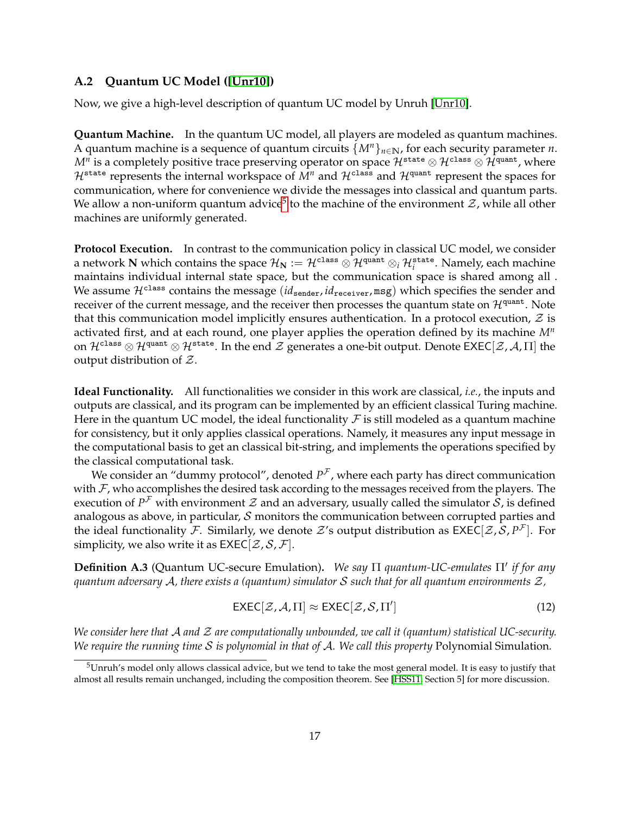### **A.2 Quantum UC Model ([\[Unr10\]](#page-33-4))**

Now, we give a high-level description of quantum UC model by Unruh [\[Unr10\]](#page-33-4).

**Quantum Machine.** In the quantum UC model, all players are modeled as quantum machines. A quantum machine is a sequence of quantum circuits  $\{M^n\}_{n\in\mathbb{N}}$ , for each security parameter *n*.  $M^n$  is a completely positive trace preserving operator on space  ${\cal H}^{\tt state} \otimes {\cal H}^{\tt class} \otimes {\cal H}^{\tt quant}$  , where  $\mathcal{H}^{\text{state}}$  represents the internal workspace of  $M^n$  and  $\mathcal{H}^{\text{class}}$  and  $\mathcal{H}^{\text{quant}}$  represent the spaces for communication, where for convenience we divide the messages into classical and quantum parts. We allow a non-uniform quantum advice $^5$  $^5$  to the machine of the environment  ${\cal Z}$ , while all other machines are uniformly generated.

**Protocol Execution.** In contrast to the communication policy in classical UC model, we consider a network  $N$  which contains the space  $\mathcal{H}_N:=\mathcal{H}^{\texttt{class}}\otimes\mathcal{H}^{\texttt{quant}}\otimes_i\mathcal{H}^{\texttt{state}}_i.$  Namely, each machine maintains individual internal state space, but the communication space is shared among all . We assume  $\mathcal{H}^{\text{class}}$  contains the message (*id*<sub>sender</sub>, *id*<sub>receiver</sub>, msg) which specifies the sender and receiver of the current message, and the receiver then processes the quantum state on  $\mathcal{H}^{\text{quant}}$ . Note that this communication model implicitly ensures authentication. In a protocol execution,  $\mathcal{Z}$  is activated first, and at each round, one player applies the operation defined by its machine *M<sup>n</sup>* on  $\mathcal{H}^{\text{class}}\otimes\mathcal{H}^{\text{quant}}\otimes\mathcal{H}^{\text{state}}$ . In the end  $\mathcal Z$  generates a one-bit output. Denote EXEC[ $\mathcal Z$ ,  $\mathcal A$ ,  $\Pi$ ] the output distribution of Z.

**Ideal Functionality.** All functionalities we consider in this work are classical, *i.e.*, the inputs and outputs are classical, and its program can be implemented by an efficient classical Turing machine. Here in the quantum UC model, the ideal functionality  $\mathcal F$  is still modeled as a quantum machine for consistency, but it only applies classical operations. Namely, it measures any input message in the computational basis to get an classical bit-string, and implements the operations specified by the classical computational task.

We consider an "dummy protocol", denoted  $P^{\mathcal{F}}$ , where each party has direct communication with  $\mathcal{F}$ , who accomplishes the desired task according to the messages received from the players. The execution of  $P^{\mathcal{F}}$  with environment  $\mathcal Z$  and an adversary, usually called the simulator  $\mathcal S$ , is defined analogous as above, in particular,  $\mathcal S$  monitors the communication between corrupted parties and the ideal functionality F. Similarly, we denote  $\mathcal Z$ 's output distribution as  $\mathsf{EXEC}[\mathcal Z,\mathcal S,P^{\mathcal F}].$  For simplicity, we also write it as  $EXEC[\mathcal{Z}, \mathcal{S}, \mathcal{F}].$ 

**Definition A.3** (Quantum UC-secure Emulation). We say Π quantum-UC-emulates Π' if for any *quantum adversary* A*, there exists a (quantum) simulator* S *such that for all quantum environments* Z*,*

$$
\text{EXEC}[\mathcal{Z}, \mathcal{A}, \Pi] \approx \text{EXEC}[\mathcal{Z}, \mathcal{S}, \Pi'] \tag{12}
$$

*We consider here that* A *and* Z *are computationally unbounded, we call it (quantum) statistical UC-security. We require the running time* S *is polynomial in that of* A*. We call this property* Polynomial Simulation*.*

<span id="page-16-0"></span> $5$ Unruh's model only allows classical advice, but we tend to take the most general model. It is easy to justify that almost all results remain unchanged, including the composition theorem. See [\[HSS11,](#page-31-12) Section 5] for more discussion.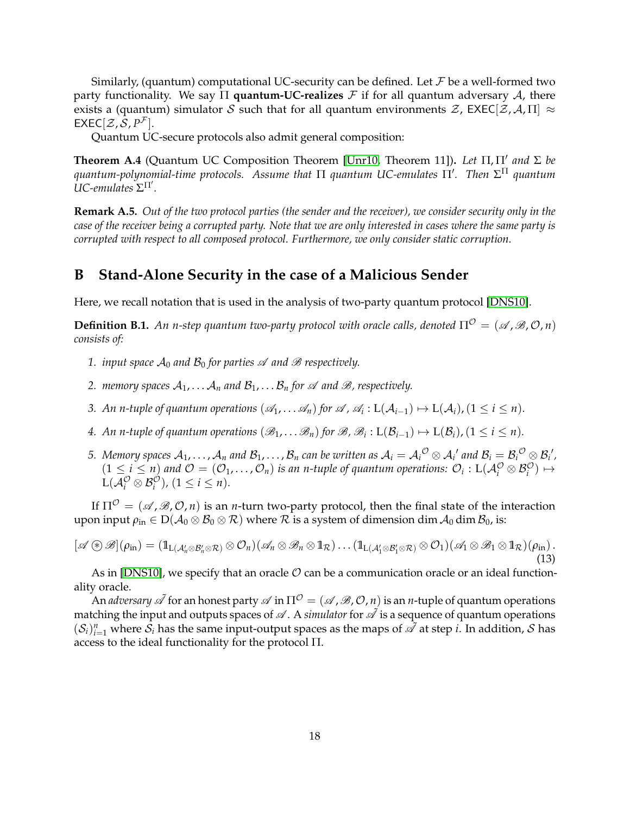Similarly, (quantum) computational UC-security can be defined. Let  $\mathcal F$  be a well-formed two party functionality. We say Π **quantum-UC-realizes** F if for all quantum adversary A, there exists a (quantum) simulator S such that for all quantum environments  $\mathcal{Z}$ , EXEC[ $\mathcal{Z}$ , A,  $\Pi$ ]  $\approx$  $\mathsf{EXEC}[\mathcal{Z}, \mathcal{S}, P^{\mathcal{F}}].$ 

Quantum UC-secure protocols also admit general composition:

**Theorem A.4** (Quantum UC Composition Theorem [\[Unr10,](#page-33-4) Theorem 11]). Let Π, Π' and Σ be  $q$ uantum-polynomial-time protocols. Assume that Π *quantum UC-emulates Π'*. Then  $\Sigma^{\Pi}$  quantum  $\overline{U}$ *C*-emulates  $\Sigma$ <sup> $\Pi'$ </sup>.

**Remark A.5.** *Out of the two protocol parties (the sender and the receiver), we consider security only in the case of the receiver being a corrupted party. Note that we are only interested in cases where the same party is corrupted with respect to all composed protocol. Furthermore, we only consider static corruption.*

# <span id="page-17-0"></span>**B Stand-Alone Security in the case of a Malicious Sender**

Here, we recall notation that is used in the analysis of two-party quantum protocol [\[DNS10\]](#page-30-9).

**Definition B.1.** An *n*-step quantum two-party protocol with oracle calls, denoted  $\Pi^{\mathcal{O}} = (\mathcal{A}, \mathcal{B}, \mathcal{O}, n)$ *consists of:*

- *1. input space*  $\mathcal{A}_0$  *and*  $\mathcal{B}_0$  *for parties*  $\mathcal A$  *and*  $\mathcal B$  *respectively.*
- *2. memory spaces*  $A_1, \ldots, A_n$  *and*  $B_1, \ldots, B_n$  *for*  $\mathscr A$  *and*  $\mathscr B$ *, respectively.*
- *3. An n-tuple of quantum operations*  $(\mathscr{A}_1, \ldots, \mathscr{A}_n)$  *for*  $\mathscr{A}$ *,*  $\mathscr{A}_i$  :  $L(\mathcal{A}_{i-1}) \mapsto L(\mathcal{A}_i)$ ,  $(1 \le i \le n)$ .
- *4. An n-tuple of quantum operations*  $(\mathscr{B}_1,\ldots\mathscr{B}_n)$  *for*  $\mathscr{B}$ *,*  $\mathscr{B}_i$  *:*  $L(\mathcal{B}_{i-1}) \mapsto L(\mathcal{B}_i)$ *,*  $(1 \le i \le n)$ *.*
- $5.$  *Memory spaces*  $\mathcal{A}_1,\ldots,\mathcal{A}_n$  *and*  $\mathcal{B}_1,\ldots,\mathcal{B}_n$  *can be written as*  $\mathcal{A}_i=\mathcal{A}_i{}^{\mathcal{O}}\otimes\mathcal{A}_i{}'$  *and*  $\mathcal{B}_i=\mathcal{B}_i{}^{\mathcal{O}}\otimes\mathcal{B}_i{}'$ *,*  $(1 \leq i \leq n)$  and  $\mathcal{O} = (\mathcal{O}_1, \ldots, \mathcal{O}_n)$  is an *n*-tuple of quantum operations:  $\mathcal{O}_i : \mathcal{L}(\mathcal{A}_i^{\mathcal{O}} \otimes \mathcal{B}_i^{\mathcal{O}}) \mapsto$  $L(\mathcal{A}_{i}^{\mathcal{O}} \otimes \mathcal{B}_{i}^{\mathcal{O}}), (1 \leq i \leq n).$

If  $\Pi^{\mathcal{O}} = (\mathcal{A}, \mathcal{B}, \mathcal{O}, n)$  is an *n*-turn two-party protocol, then the final state of the interaction upon input  $\rho_{\text{in}} \in D(A_0 \otimes B_0 \otimes R)$  where  $R$  is a system of dimension dim  $A_0$  dim  $B_0$ , is:

$$
[\mathscr{A} \circledast \mathscr{B}](\rho_{\text{in}}) = (\mathbb{1}_{L(\mathcal{A}'_n \otimes \mathcal{B}'_n \otimes \mathcal{R})} \otimes \mathcal{O}_n)(\mathscr{A}_n \otimes \mathscr{B}_n \otimes \mathbb{1}_{\mathcal{R}}) \dots (\mathbb{1}_{L(\mathcal{A}'_1 \otimes \mathcal{B}'_1 \otimes \mathcal{R})} \otimes \mathcal{O}_1)(\mathscr{A}_1 \otimes \mathscr{B}_1 \otimes \mathbb{1}_{\mathcal{R}})(\rho_{\text{in}}).
$$
\n(13)

As in [\[DNS10\]](#page-30-9), we specify that an oracle  $\mathcal O$  can be a communication oracle or an ideal functionality oracle.

An *adversary*  $\mathscr A$  for an honest party  $\mathscr A$  in  $\Pi^{\mathcal O} = (\mathscr A, \mathscr B, \mathcal O, n)$  is an *n*-tuple of quantum operations matching the input and outputs spaces of  $\mathscr A$ . A *simulator* for  $\mathscr A$  is a sequence of quantum operations  $(\mathcal{S}_i)_{i=1}^n$  where  $\mathcal{S}_i$  has the same input-output spaces as the maps of  $\tilde{\mathscr{A}}$  at step *i*. In addition,  $\mathcal S$  has access to the ideal functionality for the protocol Π.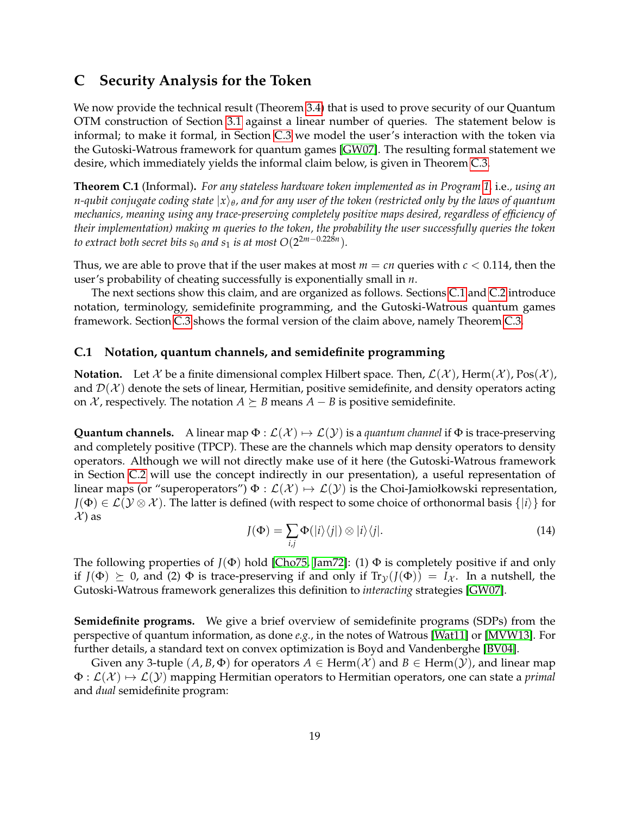# <span id="page-18-0"></span>**C Security Analysis for the Token**

We now provide the technical result (Theorem [3.4\)](#page-10-0) that is used to prove security of our Quantum OTM construction of Section [3.1](#page-7-1) against a linear number of queries. The statement below is informal; to make it formal, in Section [C.3](#page-20-1) we model the user's interaction with the token via the Gutoski-Watrous framework for quantum games [\[GW07\]](#page-31-7). The resulting formal statement we desire, which immediately yields the informal claim below, is given in Theorem [C.3.](#page-25-0)

**Theorem C.1** (Informal)**.** *For any stateless hardware token implemented as in Program [1,](#page-7-2)* i.e.*, using an n-qubit conjugate coding state* |*x*i*<sup>θ</sup> , and for any user of the token (restricted only by the laws of quantum mechanics, meaning using any trace-preserving completely positive maps desired, regardless of efficiency of their implementation) making m queries to the token, the probability the user successfully queries the token to extract both secret bits*  $s_0$  *and*  $s_1$  *is at most*  $O(2^{2m-0.228n}).$ 

Thus, we are able to prove that if the user makes at most  $m = cn$  queries with  $c < 0.114$ , then the user's probability of cheating successfully is exponentially small in *n*.

The next sections show this claim, and are organized as follows. Sections [C.1](#page-18-1) and [C.2](#page-19-0) introduce notation, terminology, semidefinite programming, and the Gutoski-Watrous quantum games framework. Section [C.3](#page-20-1) shows the formal version of the claim above, namely Theorem [C.3.](#page-25-0)

#### <span id="page-18-1"></span>**C.1 Notation, quantum channels, and semidefinite programming**

**Notation.** Let X be a finite dimensional complex Hilbert space. Then,  $\mathcal{L}(\mathcal{X})$ , Herm $(\mathcal{X})$ , Pos $(\mathcal{X})$ , and  $\mathcal{D}(\mathcal{X})$  denote the sets of linear, Hermitian, positive semidefinite, and density operators acting on  $X$ , respectively. The notation  $A \succeq B$  means  $A - B$  is positive semidefinite.

**Quantum channels.** A linear map  $\Phi : \mathcal{L}(\mathcal{X}) \mapsto \mathcal{L}(\mathcal{Y})$  is a *quantum channel* if  $\Phi$  is trace-preserving and completely positive (TPCP). These are the channels which map density operators to density operators. Although we will not directly make use of it here (the Gutoski-Watrous framework in Section [C.2](#page-19-0) will use the concept indirectly in our presentation), a useful representation of linear maps (or "superoperators")  $\Phi : \mathcal{L}(\mathcal{X}) \mapsto \mathcal{L}(\mathcal{Y})$  is the Choi-Jamiołkowski representation,  $J(\Phi) \in \mathcal{L}(\mathcal{Y} \otimes \mathcal{X})$ . The latter is defined (with respect to some choice of orthonormal basis  $\{|i\rangle\}$  for  $\mathcal{X}$  as

$$
J(\Phi) = \sum_{i,j} \Phi(|i\rangle\langle j|) \otimes |i\rangle\langle j|.
$$
 (14)

The following properties of  $J(\Phi)$  hold [\[Cho75,](#page-30-11) [Jam72\]](#page-31-9): (1)  $\Phi$  is completely positive if and only if  $J(\Phi) \succeq 0$ , and (2)  $\Phi$  is trace-preserving if and only if  $Tr_{\mathcal{Y}}(J(\Phi)) = I_{\mathcal{X}}$ . In a nutshell, the Gutoski-Watrous framework generalizes this definition to *interacting* strategies [\[GW07\]](#page-31-7).

**Semidefinite programs.** We give a brief overview of semidefinite programs (SDPs) from the perspective of quantum information, as done *e.g.*, in the notes of Watrous [\[Wat11\]](#page-33-13) or [\[MVW13\]](#page-32-7). For further details, a standard text on convex optimization is Boyd and Vandenberghe [\[BV04\]](#page-29-13).

Given any 3-tuple  $(A, B, \Phi)$  for operators  $A \in \text{Herm}(\mathcal{X})$  and  $B \in \text{Herm}(\mathcal{Y})$ , and linear map  $\Phi: \mathcal{L}(\mathcal{X}) \mapsto \mathcal{L}(\mathcal{Y})$  mapping Hermitian operators to Hermitian operators, one can state a *primal* and *dual* semidefinite program: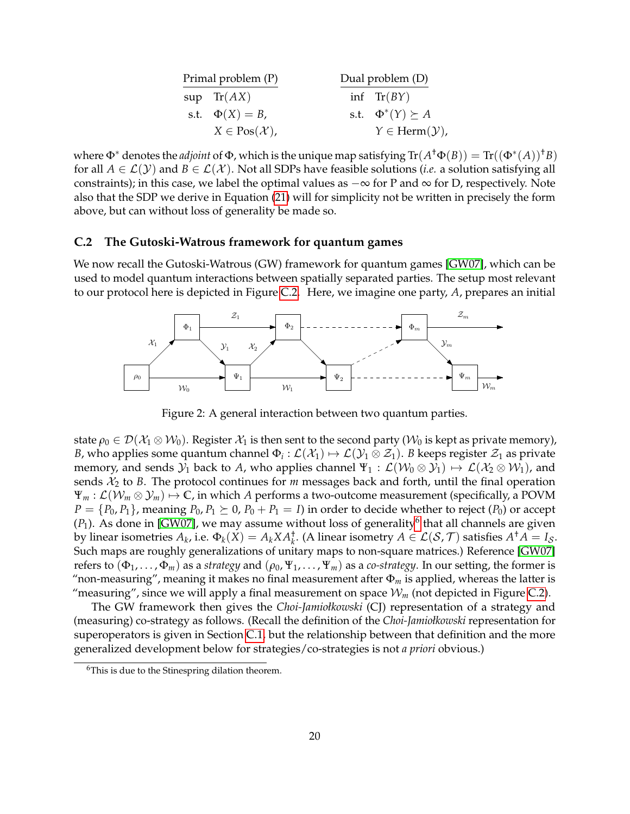| Primal problem (P) |                                  | Dual problem (D) |                                    |
|--------------------|----------------------------------|------------------|------------------------------------|
|                    | $sup$ $Tr(AX)$                   |                  | inf $Tr(BY)$                       |
|                    | s.t. $\Phi(X) = B$ ,             |                  | s.t. $\Phi^*(Y) \succeq A$         |
|                    | $X \in \text{Pos}(\mathcal{X}),$ |                  | $Y \in \text{Herm}(\mathcal{Y})$ , |

where  $\Phi^*$  denotes the *adjoint* of  $\Phi$ , which is the unique map satisfying  $\text{Tr}(A^{\dagger}\Phi(B)) = \text{Tr}((\Phi^*(A))^{\dagger}B)$ for all  $A \in \mathcal{L}(\mathcal{Y})$  and  $B \in \mathcal{L}(\mathcal{X})$ . Not all SDPs have feasible solutions (*i.e.* a solution satisfying all constraints); in this case, we label the optimal values as  $-\infty$  for P and  $\infty$  for D, respectively. Note also that the SDP we derive in Equation [\(21\)](#page-24-1) will for simplicity not be written in precisely the form above, but can without loss of generality be made so.

#### <span id="page-19-0"></span>**C.2 The Gutoski-Watrous framework for quantum games**

We now recall the Gutoski-Watrous (GW) framework for quantum games [\[GW07\]](#page-31-7), which can be used to model quantum interactions between spatially separated parties. The setup most relevant to our protocol here is depicted in Figure [C.2.](#page-19-1) Here, we imagine one party, *A*, prepares an initial



<span id="page-19-1"></span>Figure 2: A general interaction between two quantum parties.

state  $\rho_0 \in \mathcal{D}(\mathcal{X}_1 \otimes \mathcal{W}_0)$ . Register  $\mathcal{X}_1$  is then sent to the second party ( $\mathcal{W}_0$  is kept as private memory), *B,* who applies some quantum channel  $\Phi_i:\mathcal{L}(\mathcal{X}_1)\mapsto\mathcal{L}(\mathcal{Y}_1\otimes\mathcal{Z}_1).$  *B* keeps register  $\mathcal{Z}_1$  as private memory, and sends  $\mathcal{Y}_1$  back to *A*, who applies channel  $\Psi_1 : \mathcal{L}(\mathcal{W}_0 \otimes \mathcal{Y}_1) \mapsto \mathcal{L}(\mathcal{X}_2 \otimes \mathcal{W}_1)$ , and sends  $\mathcal{X}_2$  to *B*. The protocol continues for *m* messages back and forth, until the final operation  $\Psi_m : \mathcal{L}(\mathcal{W}_m \otimes \mathcal{Y}_m) \mapsto \mathbb{C}$ , in which *A* performs a two-outcome measurement (specifically, a POVM  $P = \{P_0, P_1\}$ , meaning  $P_0, P_1 \succeq 0$ ,  $P_0 + P_1 = I$ ) in order to decide whether to reject  $(P_0)$  or accept  $(P_1)$ . As done in [\[GW07\]](#page-31-7), we may assume without loss of generality<sup>[6](#page-19-2)</sup> that all channels are given by linear isometries  $A_k$ , i.e.  $\Phi_k(X) = A_k X A_k^{\dagger}$ . (A linear isometry  $A \in \mathcal{L}(\mathcal{S}, \mathcal{T})$  satisfies  $A^{\dagger} A = I_{\mathcal{S}}$ . Such maps are roughly generalizations of unitary maps to non-square matrices.) Reference [\[GW07\]](#page-31-7) refers to  $(\Phi_1, \ldots, \Phi_m)$  as a *strategy* and  $(\rho_0, \Psi_1, \ldots, \Psi_m)$  as a *co-strategy*. In our setting, the former is "non-measuring", meaning it makes no final measurement after  $\Phi_m$  is applied, whereas the latter is "measuring", since we will apply a final measurement on space  $W_m$  (not depicted in Figure [C.2\)](#page-19-1).

The GW framework then gives the *Choi-Jamiołkowski* (CJ) representation of a strategy and (measuring) co-strategy as follows. (Recall the definition of the *Choi-Jamiołkowski* representation for superoperators is given in Section [C.1,](#page-18-1) but the relationship between that definition and the more generalized development below for strategies/co-strategies is not *a priori* obvious.)

<span id="page-19-2"></span><sup>&</sup>lt;sup>6</sup>This is due to the Stinespring dilation theorem.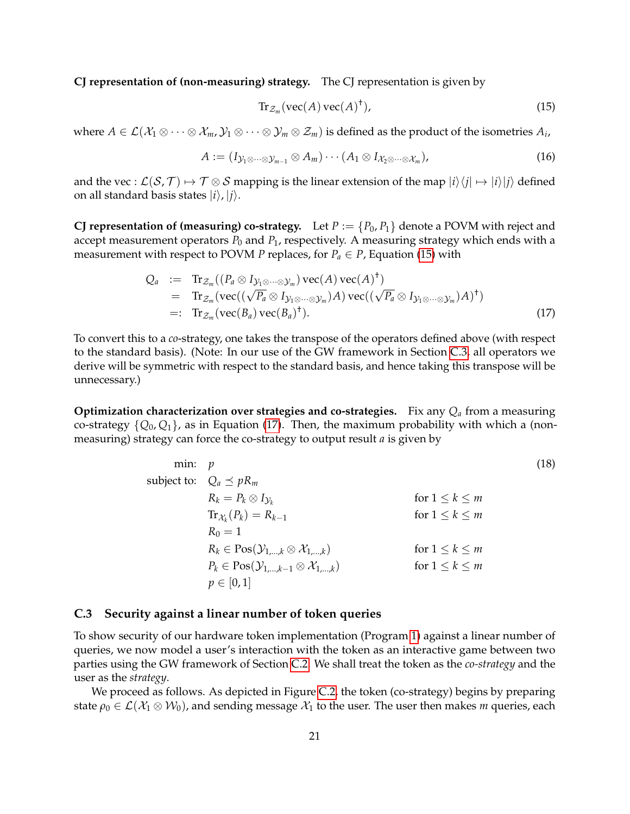**CJ representation of (non-measuring) strategy.** The CJ representation is given by

<span id="page-20-2"></span>
$$
\operatorname{Tr}_{\mathcal{Z}_m}(\operatorname{vec}(A)\operatorname{vec}(A)^{\dagger}),\tag{15}
$$

where  $A\in\mathcal{L}(\mathcal{X}_1\otimes\cdots\otimes\mathcal{X}_m,\mathcal{Y}_1\otimes\cdots\otimes\mathcal{Y}_m\otimes\mathcal{Z}_m)$  is defined as the product of the isometries  $A_i$ ,

<span id="page-20-0"></span>
$$
A := (I_{\mathcal{Y}_1 \otimes \cdots \otimes \mathcal{Y}_{m-1}} \otimes A_m) \cdots (A_1 \otimes I_{\mathcal{X}_2 \otimes \cdots \otimes \mathcal{X}_m}),
$$
(16)

and the vec :  $\mathcal{L}(\mathcal{S}, \mathcal{T}) \mapsto \mathcal{T} \otimes \mathcal{S}$  mapping is the linear extension of the map  $|i\rangle\langle i| \mapsto |i\rangle|j\rangle$  defined on all standard basis states  $|i\rangle$ ,  $|j\rangle$ .

**CJ representation of (measuring) co-strategy.** Let  $P := \{P_0, P_1\}$  denote a POVM with reject and accept measurement operators  $P_0$  and  $P_1$ , respectively. A measuring strategy which ends with a measurement with respect to POVM *P* replaces, for  $P_a \in P$ , Equation [\(15\)](#page-20-2) with

<span id="page-20-3"></span>
$$
Q_a := \text{Tr}_{\mathcal{Z}_m}((P_a \otimes I_{\mathcal{Y}_1 \otimes \cdots \otimes \mathcal{Y}_m}) \text{vec}(A) \text{vec}(A)^{\dagger})
$$
  
\n
$$
= \text{Tr}_{\mathcal{Z}_m}(\text{vec}((\sqrt{P_a} \otimes I_{\mathcal{Y}_1 \otimes \cdots \otimes \mathcal{Y}_m})A) \text{vec}((\sqrt{P_a} \otimes I_{\mathcal{Y}_1 \otimes \cdots \otimes \mathcal{Y}_m})A)^{\dagger})
$$
  
\n
$$
=: \text{Tr}_{\mathcal{Z}_m}(\text{vec}(B_a) \text{vec}(B_a)^{\dagger}). \tag{17}
$$

To convert this to a *co*-strategy, one takes the transpose of the operators defined above (with respect to the standard basis). (Note: In our use of the GW framework in Section [C.3,](#page-20-1) all operators we derive will be symmetric with respect to the standard basis, and hence taking this transpose will be unnecessary.)

**Optimization characterization over strategies and co-strategies.** Fix any *Q<sup>a</sup>* from a measuring co-strategy  $\{Q_0, Q_1\}$ , as in Equation [\(17\)](#page-20-3). Then, the maximum probability with which a (nonmeasuring) strategy can force the co-strategy to output result *a* is given by

<span id="page-20-4"></span>min: 
$$
p
$$
  
\nsubject to:  $Q_a \preceq pR_m$   
\n $R_k = P_k \otimes I_{\mathcal{Y}_k}$  for  $1 \le k \le m$   
\n $\operatorname{Tr}_{\mathcal{X}_k}(P_k) = R_{k-1}$  for  $1 \le k \le m$   
\n $R_0 = 1$   
\n $R_k \in \operatorname{Pos}(\mathcal{Y}_{1,\ldots,k} \otimes \mathcal{X}_{1,\ldots,k})$  for  $1 \le k \le m$   
\n $P_k \in \operatorname{Pos}(\mathcal{Y}_{1,\ldots,k-1} \otimes \mathcal{X}_{1,\ldots,k})$  for  $1 \le k \le m$   
\n $p \in [0,1]$ 

#### <span id="page-20-1"></span>**C.3 Security against a linear number of token queries**

To show security of our hardware token implementation (Program [1\)](#page-7-2) against a linear number of queries, we now model a user's interaction with the token as an interactive game between two parties using the GW framework of Section [C.2.](#page-19-0) We shall treat the token as the *co-strategy* and the user as the *strategy*.

We proceed as follows. As depicted in Figure [C.2,](#page-19-1) the token (co-strategy) begins by preparing state  $\rho_0 \in \mathcal{L}(\mathcal{X}_1 \otimes \mathcal{W}_0)$ , and sending message  $\mathcal{X}_1$  to the user. The user then makes *m* queries, each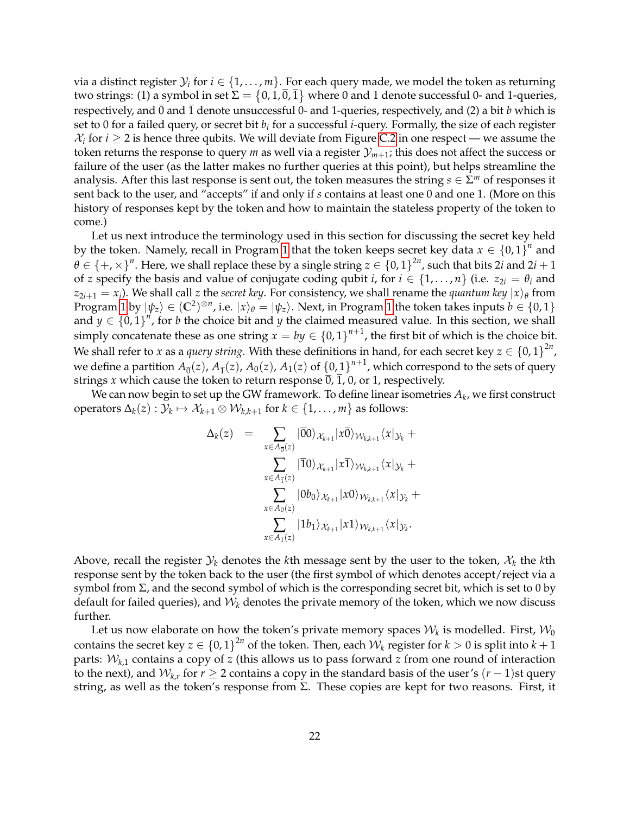via a distinct register  $\mathcal{Y}_i$  for  $i \in \{1,\ldots,m\}.$  For each query made, we model the token as returning two strings: (1) a symbol in set  $\Sigma=\{0,1,\overline{0},\overline{1}\}$  where  $0$  and  $1$  denote successful 0- and 1-queries, respectively, and  $\overline{0}$  and  $\overline{1}$  denote unsuccessful 0- and 1-queries, respectively, and (2) a bit *b* which is set to 0 for a failed query, or secret bit *b<sup>i</sup>* for a successful *i*-query. Formally, the size of each register  $\mathcal{X}_i$  for  $i \geq 2$  is hence three qubits. We will deviate from Figure [C.2](#page-19-1) in one respect — we assume the token returns the response to query *m* as well via a register  $\mathcal{Y}_{m+1}$ ; this does not affect the success or failure of the user (as the latter makes no further queries at this point), but helps streamline the analysis. After this last response is sent out, the token measures the string  $s \in \Sigma^m$  of responses it sent back to the user, and "accepts" if and only if *s* contains at least one 0 and one 1. (More on this history of responses kept by the token and how to maintain the stateless property of the token to come.)

Let us next introduce the terminology used in this section for discussing the secret key held by the token. Namely, recall in Program [1](#page-7-2) that the token keeps secret key data  $x \in \{0,1\}^n$  and  $\theta\in\{+,\times\}^n.$  Here, we shall replace these by a single string  $z\in\{0,1\}^{2n}$ , such that bits 2 $i$  and 2 $i+1$ of *z* specify the basis and value of conjugate coding qubit *i*, for  $i \in \{1, \ldots, n\}$  (i.e.  $z_{2i} = \theta_i$  and  $z_{2i+1} = x_i$ ). We shall call *z* the *secret key*. For consistency, we shall rename the *quantum key*  $|x\rangle_\theta$  from Program [1](#page-7-2) by  $|\psi_z\rangle\in(\mathbb{C}^2)^{\otimes n}$ , i.e.  $|x\rangle_\theta=|\psi_z\rangle$ . Next, in Program 1 the token takes inputs  $b\in\{0,1\}$ and  $y \in \{0,1\}^n$ , for *b* the choice bit and *y* the claimed measured value. In this section, we shall simply concatenate these as one string  $x = by \in \{0,1\}^{n+1}$ , the first bit of which is the choice bit. We shall refer to *x* as a *query string*. With these definitions in hand, for each secret key  $z \in \{0,1\}^{2n}$ , we define a partition  $A_{\overline{0}}(z)$ ,  $A_{\overline{1}}(z)$ ,  $A_0(z)$ ,  $A_1(z)$  of  $\{0,1\}^{n+1}$ , which correspond to the sets of query strings *x* which cause the token to return response  $\overline{0}$ ,  $\overline{1}$ , 0, or 1, respectively.

We can now begin to set up the GW framework. To define linear isometries  $A_k$ , we first construct  $\mathsf{operators}\ \Delta_k(z):\mathcal{Y}_k\mapsto \mathcal{X}_{k+1}\otimes \mathcal{W}_{k,k+1} \text{ for } k\in\{1,\dots,m\} \text{ as follows:}$ 

$$
\Delta_k(z) = \sum_{x \in A_{\overline{0}}(z)} |\overline{0}0\rangle_{\mathcal{X}_{k+1}} |x\overline{0}\rangle_{\mathcal{W}_{k,k+1}} \langle x|_{\mathcal{Y}_k} +
$$
  

$$
\sum_{x \in A_{\overline{1}}(z)} |\overline{1}0\rangle_{\mathcal{X}_{k+1}} |x\overline{1}\rangle_{\mathcal{W}_{k,k+1}} \langle x|_{\mathcal{Y}_k} +
$$
  

$$
\sum_{x \in A_0(z)} |0b_0\rangle_{\mathcal{X}_{k+1}} |x0\rangle_{\mathcal{W}_{k,k+1}} \langle x|_{\mathcal{Y}_k} +
$$
  

$$
\sum_{x \in A_1(z)} |1b_1\rangle_{\mathcal{X}_{k+1}} |x1\rangle_{\mathcal{W}_{k,k+1}} \langle x|_{\mathcal{Y}_k}.
$$

Above, recall the register  $\mathcal{Y}_k$  denotes the *k*th message sent by the user to the token,  $\mathcal{X}_k$  the *k*th response sent by the token back to the user (the first symbol of which denotes accept/reject via a symbol from Σ, and the second symbol of which is the corresponding secret bit, which is set to 0 by default for failed queries), and  $W_k$  denotes the private memory of the token, which we now discuss further.

Let us now elaborate on how the token's private memory spaces  $\mathcal{W}_k$  is modelled. First,  $\mathcal{W}_0$ contains the secret key  $z\in\{0,1\}^{2n}$  of the token. Then, each  $\mathcal{W}_k$  register for  $k>0$  is split into  $k+1$ parts:  $W_{k,1}$  contains a copy of *z* (this allows us to pass forward *z* from one round of interaction to the next), and  $\mathcal{W}_{k,r}$  for  $r\geq 2$  contains a copy in the standard basis of the user's  $(r-1)$ st query string, as well as the token's response from  $\Sigma$ . These copies are kept for two reasons. First, it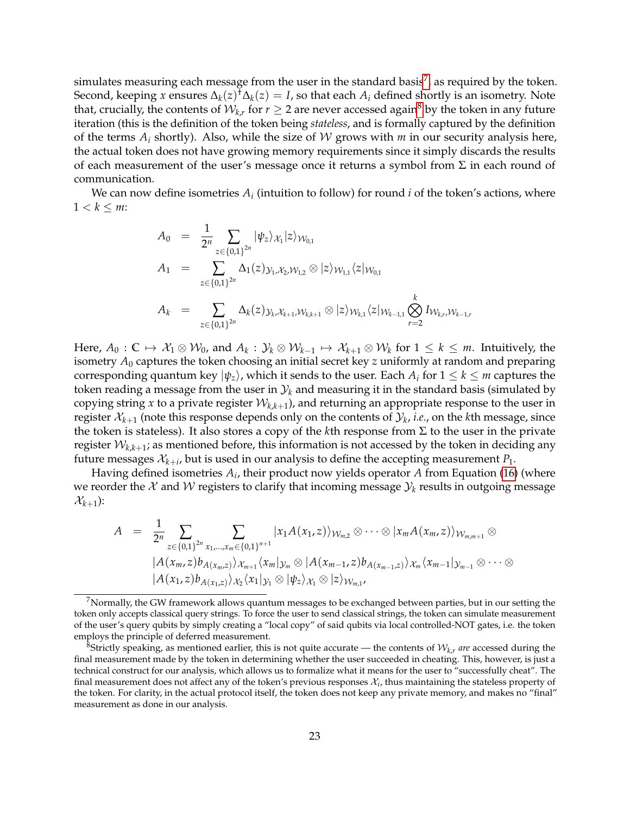simulates measuring each message from the user in the standard basis<sup>[7](#page-22-0)</sup>, as required by the token. Second, keeping *x* ensures  $\Delta_k(z)^{\dagger} \Delta_k(z) = I$ , so that each  $A_i$  defined shortly is an isometry. Note that, crucially, the contents of  $\mathcal{W}_{k,r}$  for  $r\geq 2$  are never accessed again<sup>[8](#page-22-1)</sup> by the token in any future iteration (this is the definition of the token being *stateless*, and is formally captured by the definition of the terms  $A_i$  shortly). Also, while the size of W grows with  $m$  in our security analysis here, the actual token does not have growing memory requirements since it simply discards the results of each measurement of the user's message once it returns a symbol from  $\Sigma$  in each round of communication.

We can now define isometries  $A_i$  (intuition to follow) for round  $i$  of the token's actions, where  $1 < k \leq m$ :

$$
A_0 = \frac{1}{2^n} \sum_{z \in \{0,1\}^{2n}} |\psi_z\rangle_{\mathcal{X}_1} |z\rangle_{\mathcal{W}_{0,1}}
$$
  
\n
$$
A_1 = \sum_{z \in \{0,1\}^{2n}} \Delta_1(z)_{\mathcal{Y}_1, \mathcal{X}_2, \mathcal{W}_{1,2}} \otimes |z\rangle_{\mathcal{W}_{1,1}} \langle z|_{\mathcal{W}_{0,1}}
$$
  
\n
$$
A_k = \sum_{z \in \{0,1\}^{2n}} \Delta_k(z)_{\mathcal{Y}_k, \mathcal{X}_{k+1}, \mathcal{W}_{k,k+1}} \otimes |z\rangle_{\mathcal{W}_{k,1}} \langle z|_{\mathcal{W}_{k-1,1}} \bigotimes_{r=2}^k I_{\mathcal{W}_{k,r}, \mathcal{W}_{k-1,r}}
$$

Here,  $A_0: \mathbb{C} \mapsto \mathcal{X}_1 \otimes \mathcal{W}_0$ , and  $A_k: \mathcal{Y}_k \otimes \mathcal{W}_{k-1} \mapsto \mathcal{X}_{k+1} \otimes \mathcal{W}_k$  for  $1 \leq k \leq m$ . Intuitively, the isometry *A*<sup>0</sup> captures the token choosing an initial secret key *z* uniformly at random and preparing  $\alpha$  corresponding quantum key  $\ket{\psi_z}$ , which it sends to the user. Each  $A_i$  for  $1\leq k\leq m$  captures the token reading a message from the user in  $\mathcal{Y}_k$  and measuring it in the standard basis (simulated by copying string x to a private register  $\mathcal{W}_{k,k+1}$ ), and returning an appropriate response to the user in register  $\mathcal{X}_{k+1}$  (note this response depends only on the contents of  $\mathcal{Y}_k$ *, i.e.,* on the *k*th message*,* since the token is stateless). It also stores a copy of the *k*th response from Σ to the user in the private register  $\mathcal{W}_{k,k+1}$ ; as mentioned before, this information is not accessed by the token in deciding any future messages  $\mathcal{X}_{k+i}$ , but is used in our analysis to define the accepting measurement  $P_1.$ 

Having defined isometries  $A_i$ , their product now yields operator  $A$  from Equation [\(16\)](#page-20-0) (where we reorder the  $\mathcal X$  and  $\mathcal W$  registers to clarify that incoming message  $\mathcal Y_k$  results in outgoing message  $\mathcal{X}_{k+1}$ ):

$$
A = \frac{1}{2^n} \sum_{z \in \{0,1\}^{2n}} \sum_{x_1,...,x_m \in \{0,1\}^{n+1}} |x_1 A(x_1,z)\rangle_{\mathcal{W}_{m,2}} \otimes \cdots \otimes |x_m A(x_m,z)\rangle_{\mathcal{W}_{m,m+1}} \otimes
$$
  
\n
$$
|A(x_m,z)b_{A(x_m,z)}\rangle_{\mathcal{X}_{m+1}} \langle x_m|_{\mathcal{Y}_m} \otimes |A(x_{m-1},z)b_{A(x_{m-1},z)}\rangle_{\mathcal{X}_m} \langle x_{m-1}|_{\mathcal{Y}_{m-1}} \otimes \cdots \otimes
$$
  
\n
$$
|A(x_1,z)b_{A(x_1,z)}\rangle_{\mathcal{X}_2} \langle x_1|_{\mathcal{Y}_1} \otimes |\psi_z\rangle_{\mathcal{X}_1} \otimes |z\rangle_{\mathcal{W}_{m,1}},
$$

<span id="page-22-0"></span> $7$ Normally, the GW framework allows quantum messages to be exchanged between parties, but in our setting the token only accepts classical query strings. To force the user to send classical strings, the token can simulate measurement of the user's query qubits by simply creating a "local copy" of said qubits via local controlled-NOT gates, i.e. the token employs the principle of deferred measurement.

<span id="page-22-1"></span> $^8$ Strictly speaking, as mentioned earlier, this is not quite accurate — the contents of  $\mathcal{W}_{k,r}$  are accessed during the final measurement made by the token in determining whether the user succeeded in cheating. This, however, is just a technical construct for our analysis, which allows us to formalize what it means for the user to "successfully cheat". The final measurement does not affect any of the token's previous responses  $\mathcal{X}_i$ , thus maintaining the stateless property of the token. For clarity, in the actual protocol itself, the token does not keep any private memory, and makes no "final" measurement as done in our analysis.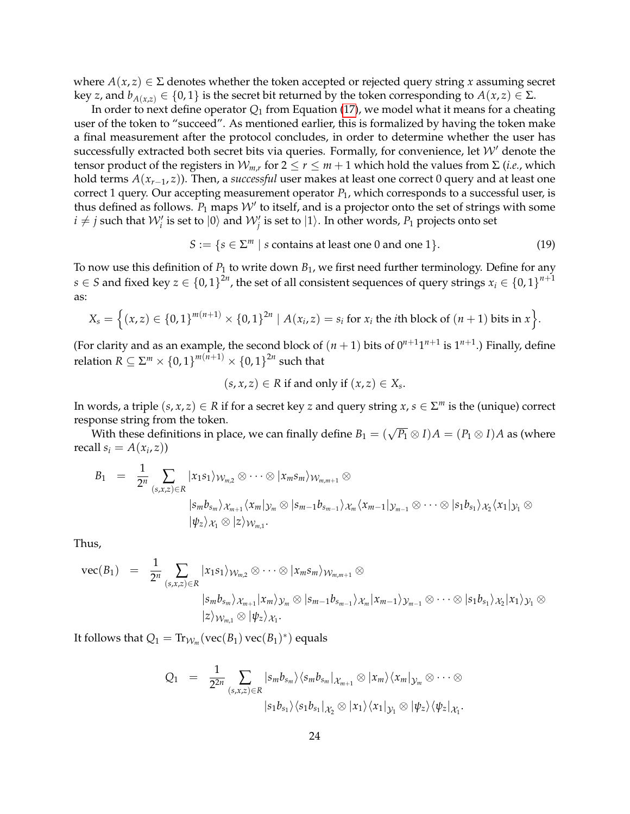where  $A(x, z) \in \Sigma$  denotes whether the token accepted or rejected query string *x* assuming secret key *z*, and  $b_{A(x,z)} \in \{0,1\}$  is the secret bit returned by the token corresponding to  $A(x,z) \in \Sigma$ .

In order to next define operator *Q*<sup>1</sup> from Equation [\(17\)](#page-20-3), we model what it means for a cheating user of the token to "succeed". As mentioned earlier, this is formalized by having the token make a final measurement after the protocol concludes, in order to determine whether the user has successfully extracted both secret bits via queries. Formally, for convenience, let  $W'$  denote the tensor product of the registers in  $W_{m,r}$  for  $2 \le r \le m+1$  which hold the values from  $\Sigma$  (*i.e.*, which hold terms *A*(*xr*−1, *z*)). Then, a *successful* user makes at least one correct 0 query and at least one correct 1 query. Our accepting measurement operator *P*1, which corresponds to a successful user, is thus defined as follows.  $P_1$  maps  $\mathcal{W}'$  to itself, and is a projector onto the set of strings with some  $i\neq j$  such that  $\mathcal{W}'_i$  is set to  $|0\rangle$  and  $\mathcal{W}'_j$  is set to  $|1\rangle$ . In other words,  $P_1$  projects onto set

<span id="page-23-0"></span>
$$
S := \{ s \in \Sigma^m \mid s \text{ contains at least one 0 and one 1} \}. \tag{19}
$$

To now use this definition of  $P_1$  to write down  $B_1$ , we first need further terminology. Define for any  $s\in S$  and fixed key  $z\in\{0,1\}^{2n}$ , the set of all consistent sequences of query strings  $x_i\in\{0,1\}^{n+1}$ as:

$$
X_s = \Big\{ (x, z) \in \{0, 1\}^{m(n+1)} \times \{0, 1\}^{2n} \mid A(x_i, z) = s_i \text{ for } x_i \text{ the } i\text{th block of } (n+1) \text{ bits in } x \Big\}.
$$

(For clarity and as an example, the second block of  $(n + 1)$  bits of  $0^{n+1}1^{n+1}$  is  $1^{n+1}$ .) Finally, define relation  $R \subseteq \Sigma^m \times \left\{0,1\right\}^{m(n+1)} \times \left\{0,1\right\}^{2n}$  such that

$$
(s, x, z) \in R
$$
 if and only if  $(x, z) \in X_s$ .

In words, a triple  $(s, x, z) \in R$  if for a secret key *z* and query string  $x, s \in \Sigma^m$  is the (unique) correct response string from the token.

 $\mathcal{W}$  with these definitions in place, we can finally define  $B_1 = (\sqrt{P_1} \otimes I)A = (P_1 \otimes I)A$  as (where recall  $s_i = A(x_i, z)$ 

$$
B_1 = \frac{1}{2^n} \sum_{(s,x,z)\in R} |x_1s_1\rangle_{\mathcal{W}_{m,2}} \otimes \cdots \otimes |x_m s_m\rangle_{\mathcal{W}_{m,m+1}} \otimes \n|s_m b_{s_m}\rangle_{\mathcal{X}_{m+1}} \langle x_m|_{\mathcal{Y}_m} \otimes |s_{m-1} b_{s_{m-1}}\rangle_{\mathcal{X}_m} \langle x_{m-1}|_{\mathcal{Y}_{m-1}} \otimes \cdots \otimes |s_1 b_{s_1}\rangle_{\mathcal{X}_2} \langle x_1|_{\mathcal{Y}_1} \otimes \n|\psi_z\rangle_{\mathcal{X}_1} \otimes |z\rangle_{\mathcal{W}_{m,1}}.
$$

Thus,

$$
\begin{array}{lll}\mathrm{vec}(B_1) &=& \frac{1}{2^n} \sum_{(s,x,z) \in R} |x_1 s_1\rangle \mathcal{W}_{m,2} \otimes \cdots \otimes |x_m s_m\rangle \mathcal{W}_{m,m+1} \otimes \\ && \qquad |s_m b_{s_m}\rangle \mathcal{X}_{m+1} |x_m\rangle \mathcal{Y}_m \otimes |s_{m-1} b_{s_{m-1}}\rangle \mathcal{X}_m |x_{m-1}\rangle \mathcal{Y}_{m-1} \otimes \cdots \otimes |s_1 b_{s_1}\rangle \mathcal{X}_2 |x_1\rangle \mathcal{Y}_1 \otimes \\ && \qquad |z\rangle \mathcal{W}_{m,1} \otimes |\psi_z\rangle \mathcal{X}_1.\end{array}
$$

It follows that  $Q_1 = \text{Tr}_{\mathcal{W}_m}(\text{vec}(B_1)\,\text{vec}(B_1)^*)$  equals

$$
Q_1 = \frac{1}{2^{2n}} \sum_{(s,x,z)\in R} |s_m b_{s_m}\rangle \langle s_m b_{s_m}|_{\mathcal{X}_{m+1}} \otimes |x_m\rangle \langle x_m|_{\mathcal{Y}_m} \otimes \cdots \otimes
$$

$$
|s_1 b_{s_1}\rangle \langle s_1 b_{s_1}|_{\mathcal{X}_2} \otimes |x_1\rangle \langle x_1|_{\mathcal{Y}_1} \otimes | \psi_z\rangle \langle \psi_z|_{\mathcal{X}_1}.
$$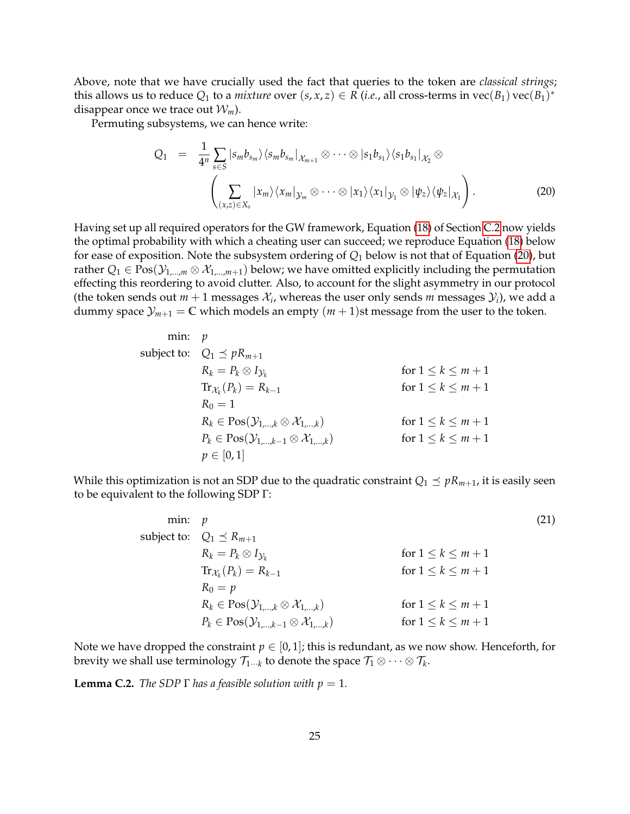Above, note that we have crucially used the fact that queries to the token are *classical strings*; this allows us to reduce  $Q_1$  to a *mixture* over  $(s, x, z) \in R$  (*i.e.*, all cross-terms in  $\text{vec}(B_1)\text{vec}(B_1)^*$ disappear once we trace out  $W_m$ ).

Permuting subsystems, we can hence write:

<span id="page-24-2"></span>
$$
Q_1 = \frac{1}{4^n} \sum_{s \in S} |s_m b_{s_m}\rangle \langle s_m b_{s_m} |_{\mathcal{X}_{m+1}} \otimes \cdots \otimes |s_1 b_{s_1}\rangle \langle s_1 b_{s_1} |_{\mathcal{X}_2} \otimes
$$

$$
\left(\sum_{(x,z) \in X_s} |x_m\rangle \langle x_m |_{\mathcal{Y}_m} \otimes \cdots \otimes |x_1\rangle \langle x_1 |_{\mathcal{Y}_1} \otimes |\psi_z\rangle \langle \psi_z |_{\mathcal{X}_1}\right).
$$
(20)

Having set up all required operators for the GW framework, Equation [\(18\)](#page-20-4) of Section [C.2](#page-19-0) now yields the optimal probability with which a cheating user can succeed; we reproduce Equation [\(18\)](#page-20-4) below for ease of exposition. Note the subsystem ordering of *Q*<sup>1</sup> below is not that of Equation [\(20\)](#page-24-2), but rather  $Q_1 \in \text{Pos}(\mathcal{Y}_{1,\dots,m} \otimes \mathcal{X}_{1,\dots,m+1})$  below; we have omitted explicitly including the permutation effecting this reordering to avoid clutter. Also, to account for the slight asymmetry in our protocol (the token sends out  $m + 1$  messages  $\mathcal{X}_i$ , whereas the user only sends  $m$  messages  $\mathcal{Y}_i$ ), we add a dummy space  $\mathcal{Y}_{m+1} = \mathbb{C}$  which models an empty  $(m+1)$ st message from the user to the token.

min: 
$$
p
$$
  
\nsubject to:  $Q_1 \le pR_{m+1}$   
\n $R_k = P_k \otimes I_{\mathcal{Y}_k}$  for  $1 \le k \le m+1$   
\n $\text{Tr}_{\mathcal{X}_k}(P_k) = R_{k-1}$  for  $1 \le k \le m+1$   
\n $R_0 = 1$   
\n $R_k \in \text{Pos}(\mathcal{Y}_{1,\ldots,k} \otimes \mathcal{X}_{1,\ldots,k})$  for  $1 \le k \le m+1$   
\n $P_k \in \text{Pos}(\mathcal{Y}_{1,\ldots,k-1} \otimes \mathcal{X}_{1,\ldots,k})$  for  $1 \le k \le m+1$   
\n $p \in [0,1]$ 

While this optimization is not an SDP due to the quadratic constraint  $Q_1 \preceq pR_{m+1}$ , it is easily seen to be equivalent to the following SDP Γ:

<span id="page-24-1"></span>min: 
$$
p
$$
 (21)  
\nsubject to:  $Q_1 \preceq R_{m+1}$   
\n $R_k = P_k \otimes I_{\mathcal{Y}_k}$  for  $1 \le k \le m+1$   
\n $\text{Tr}_{\mathcal{X}_k}(P_k) = R_{k-1}$  for  $1 \le k \le m+1$   
\n $R_0 = p$   
\n $R_k \in \text{Pos}(\mathcal{Y}_{1,\dots,k} \otimes \mathcal{X}_{1,\dots,k})$  for  $1 \le k \le m+1$   
\n $P_k \in \text{Pos}(\mathcal{Y}_{1,\dots,k-1} \otimes \mathcal{X}_{1,\dots,k})$  for  $1 \le k \le m+1$ 

Note we have dropped the constraint  $p \in [0, 1]$ ; this is redundant, as we now show. Henceforth, for brevity we shall use terminology  $\mathcal{T}_{1\cdots k}$  to denote the space  $\mathcal{T}_1\otimes\cdots\otimes\mathcal{T}_k.$ 

<span id="page-24-0"></span>**Lemma C.2.** *The SDP*  $\Gamma$  *has a feasible solution with*  $p = 1$ *.*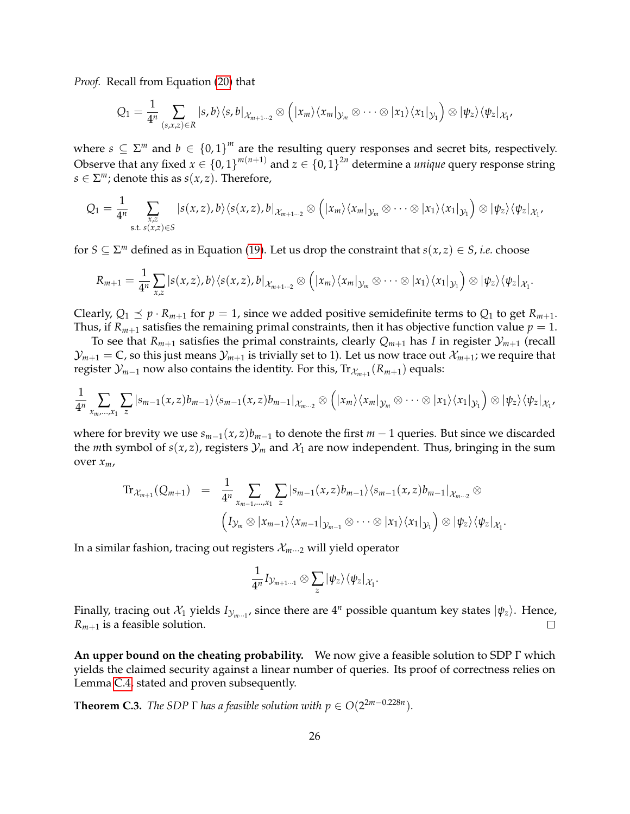*Proof.* Recall from Equation [\(20\)](#page-24-2) that

$$
Q_1=\frac{1}{4^n}\sum_{(s,x,z)\in R}|s,b\rangle\langle s,b|_{\mathcal{X}_{m+1\cdots 2}}\otimes \Big(|x_m\rangle\langle x_m|_{\mathcal{Y}_m}\otimes\cdots\otimes|x_1\rangle\langle x_1|_{\mathcal{Y}_1}\Big)\otimes|\psi_z\rangle\langle\psi_z|_{\mathcal{X}_1},
$$

where  $s \subseteq \Sigma^m$  and  $b \in \{0,1\}^m$  are the resulting query responses and secret bits, respectively. Observe that any fixed  $x \in \{0,1\}^{m(n+1)}$  and  $z \in \{0,1\}^{2n}$  determine a *unique* query response string  $s \in \Sigma^m$ ; denote this as  $s(x, z)$ . Therefore,

$$
Q_1 = \frac{1}{4^n} \sum_{\substack{x,z \\ \text{s.t. } s(x,z) \in S}} |s(x,z),b\rangle\langle s(x,z),b|_{\mathcal{X}_{m+1\cdots 2}} \otimes (|x_m\rangle\langle x_m|_{\mathcal{Y}_m} \otimes \cdots \otimes |x_1\rangle\langle x_1|_{\mathcal{Y}_1}) \otimes |\psi_z\rangle\langle\psi_z|_{\mathcal{X}_1},
$$

for  $S \subseteq \Sigma^m$  defined as in Equation [\(19\)](#page-23-0). Let us drop the constraint that  $s(x, z) \in S$ , *i.e.* choose

$$
R_{m+1} = \frac{1}{4^n} \sum_{x,z} |s(x,z),b\rangle \langle s(x,z),b|_{\mathcal{X}_{m+1\cdots 2}} \otimes \left( |x_m\rangle \langle x_m|_{\mathcal{Y}_m} \otimes \cdots \otimes |x_1\rangle \langle x_1|_{\mathcal{Y}_1} \right) \otimes |\psi_z\rangle \langle \psi_z|_{\mathcal{X}_1}.
$$

Clearly,  $Q_1 \leq p \cdot R_{m+1}$  for  $p = 1$ , since we added positive semidefinite terms to  $Q_1$  to get  $R_{m+1}$ . Thus, if  $R_{m+1}$  satisfies the remaining primal constraints, then it has objective function value  $p = 1$ .

To see that  $R_{m+1}$  satisfies the primal constraints, clearly  $Q_{m+1}$  has *I* in register  $\mathcal{Y}_{m+1}$  (recall  $\mathcal{Y}_{m+1} = \mathbb{C}$ , so this just means  $\mathcal{Y}_{m+1}$  is trivially set to 1). Let us now trace out  $\mathcal{X}_{m+1}$ ; we require that register  $\mathcal{Y}_{m-1}$  now also contains the identity. For this, Tr $_{\mathcal{X}_{m+1}}(R_{m+1})$  equals:

$$
\frac{1}{4^n}\sum_{x_m,...,x_1}\sum_z\ket{s_{m-1}(x,z)b_{m-1}}\bra{s_{m-1}(x,z)b_{m-1}}_{\mathcal{X}_m...2}\otimes\Big(\ket{x_m}\bra{x_m}_{\mathcal{Y}_m}\otimes\cdots\otimes\ket{x_1}\bra{x_1}_{\mathcal{Y}_1}\Big)\otimes\ket{\psi_z}\bra{\psi_z}_{\mathcal{X}_1},
$$

where for brevity we use  $s_{m-1}(x, z)$ *b*<sub>*m*−1</sub> to denote the first *m* − 1 queries. But since we discarded the *m*th symbol of  $s(x, z)$ , registers  $\mathcal{Y}_m$  and  $\mathcal{X}_1$  are now independent. Thus, bringing in the sum over *xm*,

$$
\mathrm{Tr}_{\mathcal{X}_{m+1}}(Q_{m+1}) = \frac{1}{4^n} \sum_{x_{m-1},...,x_1} \sum_{z} |s_{m-1}(x,z)b_{m-1}\rangle \langle s_{m-1}(x,z)b_{m-1}|_{\mathcal{X}_{m-2}} \otimes
$$

$$
\left(I_{\mathcal{Y}_m} \otimes |x_{m-1}\rangle \langle x_{m-1}|_{\mathcal{Y}_{m-1}} \otimes \cdots \otimes |x_1\rangle \langle x_1|_{\mathcal{Y}_1}\right) \otimes |\psi_z\rangle \langle \psi_z|_{\mathcal{X}_1}.
$$

In a similar fashion, tracing out registers  $\mathcal{X}_{m \cdots 2}$  will yield operator

$$
\frac{1}{4^n}I_{\mathcal{Y}_{m+1\cdots 1}}\otimes \sum_z|\psi_z\rangle\langle\psi_z|_{\mathcal{X}_1}.
$$

Finally, tracing out  $\mathcal{X}_1$  yields  $I_{\mathcal{Y}_m\cup\{1\}}$  since there are  $4^n$  possible quantum key states  $|\psi_z\rangle$ . Hence,  $R_{m+1}$  is a feasible solution.  $\Box$ 

**An upper bound on the cheating probability.** We now give a feasible solution to SDP Γ which yields the claimed security against a linear number of queries. Its proof of correctness relies on Lemma [C.4,](#page-26-0) stated and proven subsequently.

<span id="page-25-0"></span>**Theorem C.3.** *The SDP*  $\Gamma$  *has a feasible solution with*  $p \in O(2^{2m-0.228n})$ *.*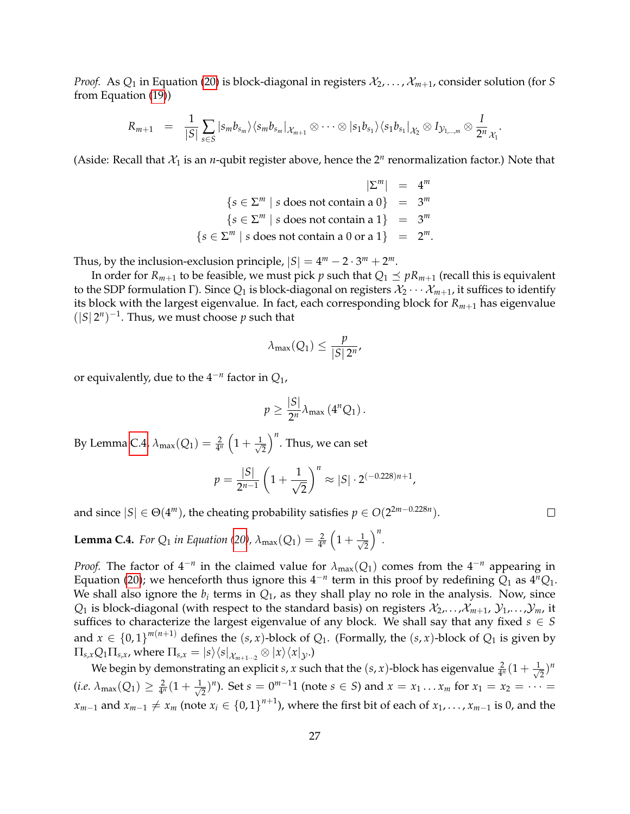*Proof.* As  $Q_1$  in Equation [\(20\)](#page-24-2) is block-diagonal in registers  $\mathcal{X}_2, \ldots, \mathcal{X}_{m+1}$ , consider solution (for *S* from Equation [\(19\)](#page-23-0))

$$
R_{m+1} = \frac{1}{|S|} \sum_{s \in S} |s_m b_{s_m}\rangle \langle s_m b_{s_m} |_{\mathcal{X}_{m+1}} \otimes \cdots \otimes |s_1 b_{s_1}\rangle \langle s_1 b_{s_1} |_{\mathcal{X}_2} \otimes I_{\mathcal{Y}_{1,\dots,m}} \otimes \frac{I}{2^n} \mathcal{X}_1.
$$

(Aside: Recall that  $\mathcal{X}_1$  is an *n*-qubit register above, hence the  $2^n$  renormalization factor.) Note that

$$
|\Sigma^m| = 4^m
$$
  
\n
$$
\{s \in \Sigma^m \mid s \text{ does not contain a } 0\} = 3^m
$$
  
\n
$$
\{s \in \Sigma^m \mid s \text{ does not contain a } 1\} = 3^m
$$
  
\n
$$
\{s \in \Sigma^m \mid s \text{ does not contain a } 0 \text{ or a } 1\} = 2^m.
$$

Thus, by the inclusion-exclusion principle,  $|S| = 4^m - 2 \cdot 3^m + 2^m$ .

In order for  $R_{m+1}$  to be feasible, we must pick *p* such that  $Q_1 \preceq pR_{m+1}$  (recall this is equivalent to the SDP formulation Γ). Since  $Q_1$  is block-diagonal on registers  $\mathcal{X}_2 \cdots \mathcal{X}_{m+1}$ , it suffices to identify its block with the largest eigenvalue. In fact, each corresponding block for *Rm*+<sup>1</sup> has eigenvalue  $(|S|2^n)^{-1}$ . Thus, we must choose *p* such that

$$
\lambda_{max}(Q_1) \leq \frac{p}{|S| \, 2^n},
$$

or equivalently, due to the 4−*<sup>n</sup>* factor in *Q*1,

$$
p\geq \frac{|S|}{2^n}\lambda_{\max}\left(4^nQ_1\right).
$$

By Lemma [C.4,](#page-26-0)  $\lambda_{\text{max}}(Q_1) = \frac{2}{4^n}\left(1 + \frac{1}{\sqrt{2}}\right)$ 2  $\int_0^n$ . Thus, we can set

$$
p = \frac{|S|}{2^{n-1}} \left( 1 + \frac{1}{\sqrt{2}} \right)^n \approx |S| \cdot 2^{(-0.228)n + 1},
$$

and since  $|S| \in \Theta(4^m)$ , the cheating probability satisfies  $p \in O(2^{2m-0.228n})$ .

<span id="page-26-0"></span>**Lemma C.4.** *For Q*<sub>1</sub> *in Equation [\(20\)](#page-24-2),*  $\lambda_{\max}(Q_1) = \frac{2}{4^n} \left(1 + \frac{1}{\sqrt{2}}\right)$ 2 *n .*

*Proof.* The factor of  $4^{-n}$  in the claimed value for  $\lambda_{\max}(Q_1)$  comes from the  $4^{-n}$  appearing in Equation [\(20\)](#page-24-2); we henceforth thus ignore this  $4^{-n}$  term in this proof by redefining  $Q_1$  as  $4^nQ_1$ . We shall also ignore the  $b_i$  terms in  $Q_1$ , as they shall play no role in the analysis. Now, since  $Q_1$  is block-diagonal (with respect to the standard basis) on registers  $\mathcal{X}_2, \ldots, \mathcal{X}_{m+1}, \mathcal{Y}_1, \ldots, \mathcal{Y}_m$ , it suffices to characterize the largest eigenvalue of any block. We shall say that any fixed  $s \in S$ and  $x \in \{0,1\}^{m(n+1)}$  defines the  $(s,x)$ -block of  $Q_1$ . (Formally, the  $(s,x)$ -block of  $Q_1$  is given by  $\Pi_{s,x} Q_1 \Pi_{s,x}$ , where  $\Pi_{s,x} = |s\rangle\langle s|_{\mathcal{X}_{m+1\cdots 2}} \otimes |x\rangle\langle x|_{\mathcal{Y}}$ .)

We begin by demonstrating an explicit *s*, *x* such that the  $(s, x)$ -block has eigenvalue  $\frac{2}{4^n}(1 + \frac{1}{\sqrt{2^n}})$  $(\frac{1}{2})^n$  $(i.e.~\lambda_{\max}(Q_1)\geq \frac{2}{4^n}(1+\frac{1}{\sqrt{2}})$  $(z_1^2)^n$ ). Set  $s = 0^{m-1}1$  (note  $s \in S$ ) and  $x = x_1 \dots x_m$  for  $x_1 = x_2 = \dots =$ *x*<sub>*m*−1</sub> and *x*<sub>*m*−1</sub> ≠ *x*<sub>*m*</sub> (note *x*<sub>*i*</sub> ∈ {0,1}<sup>*n*+1</sup>), where the first bit of each of *x*<sub>1</sub>,..., *x*<sub>*m*−1</sub> is 0, and the

 $\Box$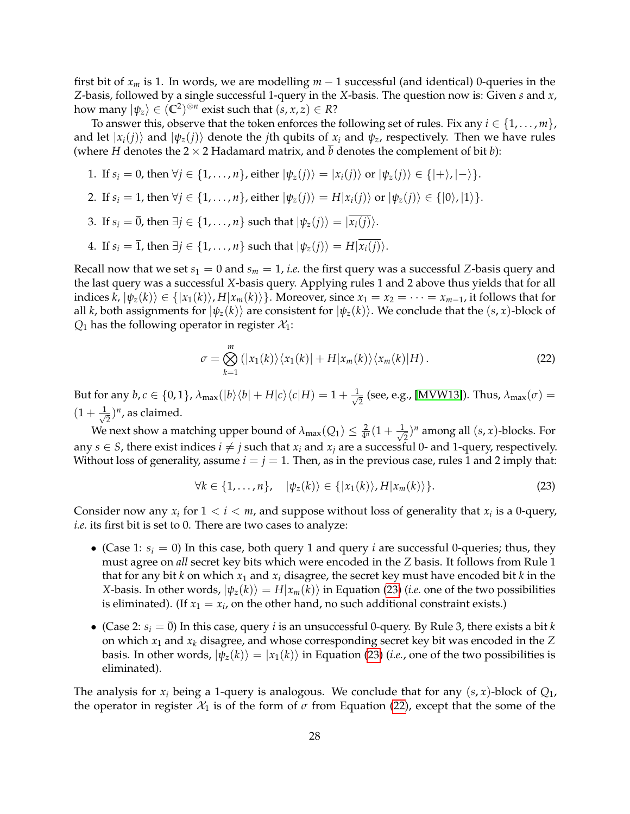first bit of *x<sup>m</sup>* is 1. In words, we are modelling *m* − 1 successful (and identical) 0-queries in the *Z*-basis, followed by a single successful 1-query in the *X*-basis. The question now is: Given *s* and *x*, how many  $|\psi_z\rangle \in (\mathbb{C}^2)^{\otimes n}$  exist such that  $(s, x, z) \in R$ ?

To answer this, observe that the token enforces the following set of rules. Fix any  $i \in \{1, \ldots, m\}$ , and let  $|x_i(i)\rangle$  and  $|\psi_z(i)\rangle$  denote the *j*th qubits of  $x_i$  and  $\psi_z$ , respectively. Then we have rules (where *H* denotes the  $2 \times 2$  Hadamard matrix, and *b* denotes the complement of bit *b*):

- 1. If  $s_i = 0$ , then  $\forall j \in \{1, ..., n\}$ , either  $|\psi_z(j)\rangle = |x_i(j)\rangle$  or  $|\psi_z(j)\rangle \in \{ |+\rangle, |-\rangle\}$ .
- 2. If  $s_i = 1$ , then  $\forall j \in \{1, \ldots, n\}$ , either  $|\psi_z(j)\rangle = H|x_i(j)\rangle$  or  $|\psi_z(j)\rangle \in \{|0\rangle, |1\rangle\}$ .
- 3. If  $s_i = \overline{0}$ , then  $\exists j \in \{1, ..., n\}$  such that  $|\psi_z(j)\rangle = |\overline{x_i(j)}\rangle$ .
- 4. If  $s_i = \overline{1}$ , then  $\exists j \in \{1, ..., n\}$  such that  $|\psi_z(j)\rangle = H|\overline{x_i(j)}\rangle$ .

Recall now that we set  $s_1 = 0$  and  $s_m = 1$ , *i.e.* the first query was a successful *Z*-basis query and the last query was a successful *X*-basis query. Applying rules 1 and 2 above thus yields that for all indices  $k$ ,  $|\psi_z(k)\rangle \in \{ |x_1(k)\rangle, H|x_m(k)\rangle\}$ . Moreover, since  $x_1 = x_2 = \cdots = x_{m-1}$ , it follows that for all *k*, both assignments for  $|\psi_z(k)\rangle$  are consistent for  $|\psi_z(k)\rangle$ . We conclude that the  $(s, x)$ -block of  $Q_1$  has the following operator in register  $X_1$ :

<span id="page-27-1"></span>
$$
\sigma = \bigotimes_{k=1}^{m} (|x_1(k)\rangle \langle x_1(k)| + H |x_m(k)\rangle \langle x_m(k)| H).
$$
 (22)

But for any  $b, c \in \{0, 1\}$ ,  $\lambda_{\max}(|b\rangle\langle b| + H|c\rangle\langle c|H) = 1 + \frac{1}{\sqrt{2}}$  $\frac{1}{2}$  (see, e.g., [\[MVW13\]](#page-32-7)). Thus,  $\lambda_{\max}(\sigma) =$  $(1 + \frac{1}{\sqrt{2}})$  $(\frac{1}{2})^n$ , as claimed.

We next show a matching upper bound of  $\lambda_{\max}(Q_1) \leq \frac{2}{4^n}(1 + \frac{1}{\sqrt{2^n}})$  $(\frac{1}{2})^n$  among all  $(s, x)$ -blocks. For any  $s \in S$ , there exist indices  $i \neq j$  such that  $x_i$  and  $x_j$  are a successful 0- and 1-query, respectively. Without loss of generality, assume  $i = j = 1$ . Then, as in the previous case, rules 1 and 2 imply that:

<span id="page-27-0"></span>
$$
\forall k \in \{1, \ldots, n\}, \quad |\psi_z(k)\rangle \in \{ |x_1(k)\rangle, H|x_m(k)\rangle \}.
$$
 (23)

Consider now any  $x_i$  for  $1 < i < m$ , and suppose without loss of generality that  $x_i$  is a 0-query, *i.e.* its first bit is set to 0. There are two cases to analyze:

- (Case 1:  $s_i = 0$ ) In this case, both query 1 and query *i* are successful 0-queries; thus, they must agree on *all* secret key bits which were encoded in the *Z* basis. It follows from Rule 1 that for any bit  $k$  on which  $x_1$  and  $x_i$  disagree, the secret key must have encoded bit  $k$  in the *X*-basis. In other words,  $|\psi_z(k)\rangle = H|x_m(k)\rangle$  in Equation [\(23\)](#page-27-0) (*i.e.* one of the two possibilities is eliminated). (If  $x_1 = x_i$ , on the other hand, no such additional constraint exists.)
- (Case 2:  $s_i = \overline{0}$ ) In this case, query *i* is an unsuccessful 0-query. By Rule 3, there exists a bit *k* on which *x*<sup>1</sup> and *x<sup>k</sup>* disagree, and whose corresponding secret key bit was encoded in the *Z* basis. In other words,  $|\psi_z(k)\rangle = |x_1(k)\rangle$  in Equation [\(23\)](#page-27-0) (*i.e.*, one of the two possibilities is eliminated).

The analysis for  $x_i$  being a 1-query is analogous. We conclude that for any  $(s, x)$ -block of  $Q_1$ , the operator in register  $\mathcal{X}_1$  is of the form of  $\sigma$  from Equation [\(22\)](#page-27-1), except that the some of the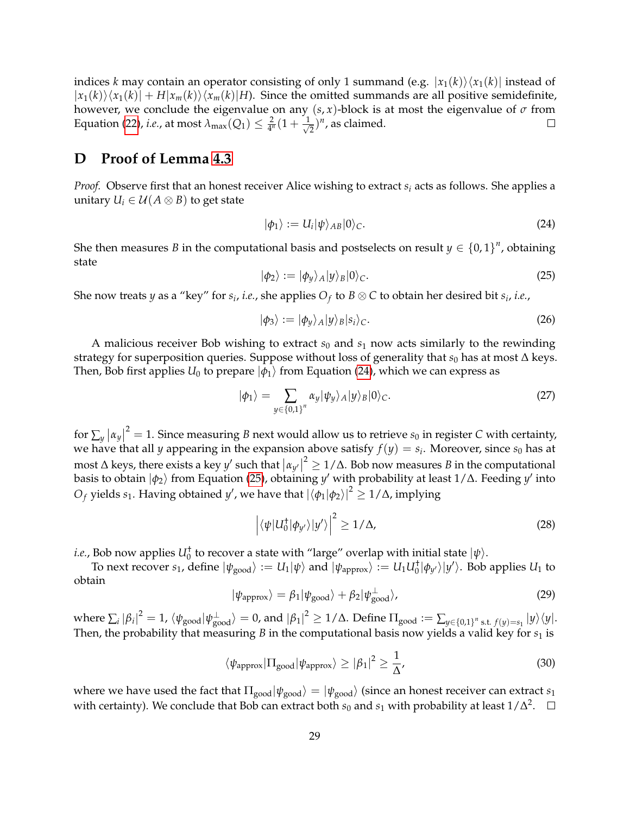indices *k* may contain an operator consisting of only 1 summand (e.g.  $|x_1(k)\rangle\langle x_1(k)|$  instead of  $|x_1(k)\rangle\langle x_1(k)| + H|x_m(k)\rangle\langle x_m(k)|$ *H*). Since the omitted summands are all positive semidefinite, however, we conclude the eigenvalue on any  $(s, x)$ -block is at most the eigenvalue of  $\sigma$  from Equation [\(22\)](#page-27-1)*, i.e.,* at most  $\lambda_{\max}(Q_1) \leq \frac{2}{4^n}(1 + \frac{1}{\sqrt{2}})$  $(\frac{1}{2})^n$ , as claimed.  $\Box$ 

# <span id="page-28-0"></span>**D Proof of Lemma [4.3](#page-14-2)**

*Proof.* Observe first that an honest receiver Alice wishing to extract *s<sup>i</sup>* acts as follows. She applies a unitary  $U_i \in \mathcal{U}(A \otimes B)$  to get state

<span id="page-28-1"></span>
$$
|\phi_1\rangle := U_i |\psi\rangle_{AB} |0\rangle_C. \tag{24}
$$

She then measures *B* in the computational basis and postselects on result  $y \in \{0,1\}^n$ , obtaining state

<span id="page-28-2"></span>
$$
|\phi_2\rangle := |\phi_y\rangle_A |y\rangle_B |0\rangle_C. \tag{25}
$$

She now treats *y* as a "key" for  $s_i$ , *i.e.*, she applies  $O_f$  to  $B\otimes C$  to obtain her desired bit  $s_i$ , *i.e.*,

$$
|\phi_3\rangle := |\phi_y\rangle_A |y\rangle_B |s_i\rangle_C. \tag{26}
$$

A malicious receiver Bob wishing to extract  $s_0$  and  $s_1$  now acts similarly to the rewinding strategy for superposition queries. Suppose without loss of generality that *s*<sub>0</sub> has at most ∆ keys. Then, Bob first applies  $U_0$  to prepare  $|\phi_1\rangle$  from Equation [\(24\)](#page-28-1), which we can express as

$$
|\phi_1\rangle = \sum_{y \in \{0,1\}^n} \alpha_y |\psi_y\rangle_A |y\rangle_B |0\rangle_C.
$$
 (27)

for  $\sum_{y} |\alpha_{y}|^2 = 1$ . Since measuring *B* next would allow us to retrieve *s*<sub>0</sub> in register *C* with certainty, we have that all *y* appearing in the expansion above satisfy  $f(y) = s_i$ . Moreover, since  $s_0$  has at most  $\Delta$  keys, there exists a key *y'* such that  $|\alpha_{y'}|^2 \ge 1/\Delta$ . Bob now measures *B* in the computational basis to obtain  $\ket{\phi_2}$  from Equation [\(25\)](#page-28-2), obtaining  $y'$  with probability at least 1/∆. Feeding  $y'$  into  $O_f$  yields  $s_1$ . Having obtained  $y'$ , we have that  $|\langle \phi_1|\phi_2\rangle|^2\geq 1/\Delta$ , implying

$$
\left| \langle \psi | U_0^{\dagger} | \phi_{y'} \rangle | y' \rangle \right|^2 \ge 1/\Delta, \tag{28}
$$

*i.e.,* Bob now applies  $U_0^{\dagger}$  to recover a state with "large" overlap with initial state  $|\psi\rangle$ .

To next recover  $s_1$ , define  $|\psi_{\text{good}}\rangle := U_1|\psi\rangle$  and  $|\psi_{\text{approx}}\rangle := U_1U_0^{\dagger}|\phi_{y'}\rangle|y'\rangle$ . Bob applies  $U_1$  to obtain

$$
|\psi_{\text{approx}}\rangle = \beta_1 |\psi_{\text{good}}\rangle + \beta_2 |\psi_{\text{good}}^{\perp}\rangle,\tag{29}
$$

 $\Delta$  where  $\sum_i |\beta_i|^2 = 1$ ,  $\langle \psi_{\text{good}} | \psi_{\text{good}}^\perp \rangle = 0$ , and  $|\beta_1|^2 \geq 1/\Delta$ . Define  $\Pi_{\text{good}} := \sum_{y \in \{0,1\}^n \text{ s.t. } f(y) = s_1} |y\rangle\langle y|.$ Then, the probability that measuring  $B$  in the computational basis now yields a valid key for  $s_1$  is

$$
\langle \psi_{\text{approx}} | \Pi_{\text{good}} | \psi_{\text{approx}} \rangle \geq |\beta_1|^2 \geq \frac{1}{\Delta}, \tag{30}
$$

where we have used the fact that  $\Pi_{\text{good}}|\psi_{\text{good}}\rangle = |\psi_{\text{good}}\rangle$  (since an honest receiver can extract *s*<sub>1</sub> with certainty). We conclude that Bob can extract both  $s_0$  and  $s_1$  with probability at least  $1/\Delta^2$ .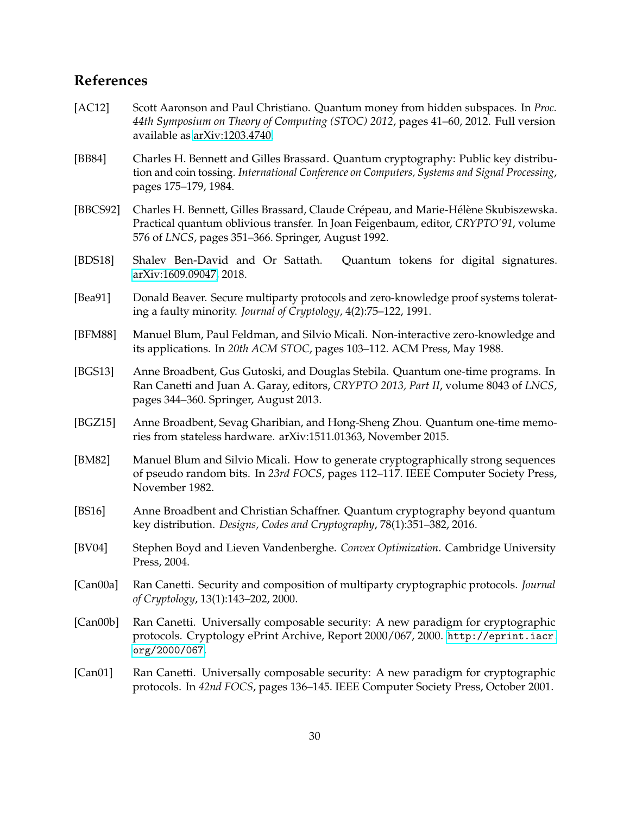# **References**

- <span id="page-29-9"></span>[AC12] Scott Aaronson and Paul Christiano. Quantum money from hidden subspaces. In *Proc. 44th Symposium on Theory of Computing (STOC) 2012*, pages 41–60, 2012. Full version available as [arXiv:1203.4740.](http://arxiv.org/abs/1203.4740)
- <span id="page-29-6"></span>[BB84] Charles H. Bennett and Gilles Brassard. Quantum cryptography: Public key distribution and coin tossing. *International Conference on Computers, Systems and Signal Processing*, pages 175–179, 1984.
- <span id="page-29-7"></span>[BBCS92] Charles H. Bennett, Gilles Brassard, Claude Crépeau, and Marie-Hélène Skubiszewska. Practical quantum oblivious transfer. In Joan Feigenbaum, editor, *CRYPTO'91*, volume 576 of *LNCS*, pages 351–366. Springer, August 1992.
- <span id="page-29-5"></span>[BDS18] Shalev Ben-David and Or Sattath. Quantum tokens for digital signatures. [arXiv:1609.09047,](https://arxiv.org/abs/1609.09047) 2018.
- <span id="page-29-11"></span>[Bea91] Donald Beaver. Secure multiparty protocols and zero-knowledge proof systems tolerating a faulty minority. *Journal of Cryptology*, 4(2):75–122, 1991.
- <span id="page-29-1"></span>[BFM88] Manuel Blum, Paul Feldman, and Silvio Micali. Non-interactive zero-knowledge and its applications. In *20th ACM STOC*, pages 103–112. ACM Press, May 1988.
- <span id="page-29-3"></span>[BGS13] Anne Broadbent, Gus Gutoski, and Douglas Stebila. Quantum one-time programs. In Ran Canetti and Juan A. Garay, editors, *CRYPTO 2013, Part II*, volume 8043 of *LNCS*, pages 344–360. Springer, August 2013.
- <span id="page-29-4"></span>[BGZ15] Anne Broadbent, Sevag Gharibian, and Hong-Sheng Zhou. Quantum one-time memories from stateless hardware. arXiv:1511.01363, November 2015.
- <span id="page-29-0"></span>[BM82] Manuel Blum and Silvio Micali. How to generate cryptographically strong sequences of pseudo random bits. In *23rd FOCS*, pages 112–117. IEEE Computer Society Press, November 1982.
- <span id="page-29-8"></span>[BS16] Anne Broadbent and Christian Schaffner. Quantum cryptography beyond quantum key distribution. *Designs, Codes and Cryptography*, 78(1):351–382, 2016.
- <span id="page-29-13"></span>[BV04] Stephen Boyd and Lieven Vandenberghe. *Convex Optimization*. Cambridge University Press, 2004.
- <span id="page-29-12"></span>[Can00a] Ran Canetti. Security and composition of multiparty cryptographic protocols. *Journal of Cryptology*, 13(1):143–202, 2000.
- <span id="page-29-10"></span>[Can00b] Ran Canetti. Universally composable security: A new paradigm for cryptographic protocols. Cryptology ePrint Archive, Report 2000/067, 2000. [http://eprint.iacr.](http://eprint.iacr.org/2000/067) [org/2000/067](http://eprint.iacr.org/2000/067).
- <span id="page-29-2"></span>[Can01] Ran Canetti. Universally composable security: A new paradigm for cryptographic protocols. In *42nd FOCS*, pages 136–145. IEEE Computer Society Press, October 2001.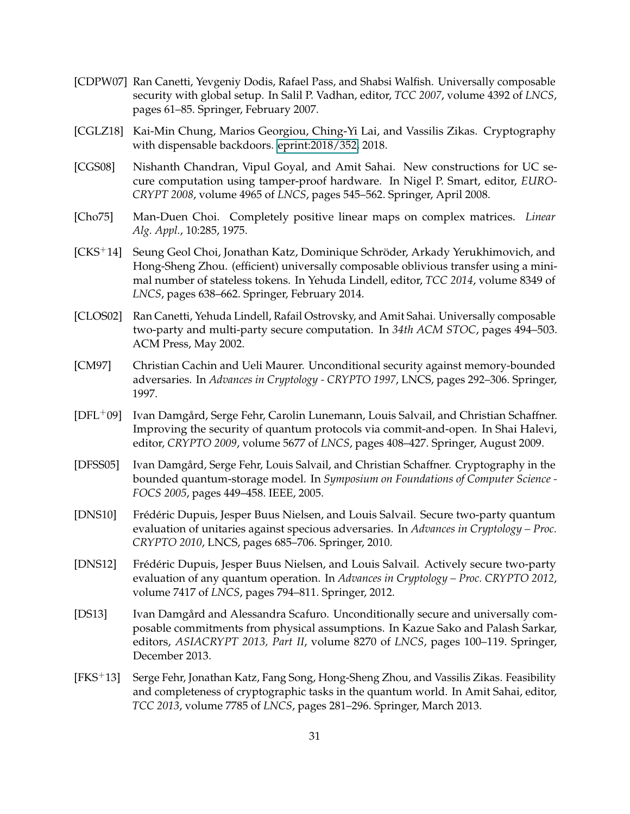- <span id="page-30-12"></span>[CDPW07] Ran Canetti, Yevgeniy Dodis, Rafael Pass, and Shabsi Walfish. Universally composable security with global setup. In Salil P. Vadhan, editor, *TCC 2007*, volume 4392 of *LNCS*, pages 61–85. Springer, February 2007.
- <span id="page-30-6"></span>[CGLZ18] Kai-Min Chung, Marios Georgiou, Ching-Yi Lai, and Vassilis Zikas. Cryptography with dispensable backdoors. [eprint:2018/352,](#page-0-0) 2018.
- <span id="page-30-3"></span>[CGS08] Nishanth Chandran, Vipul Goyal, and Amit Sahai. New constructions for UC secure computation using tamper-proof hardware. In Nigel P. Smart, editor, *EURO-CRYPT 2008*, volume 4965 of *LNCS*, pages 545–562. Springer, April 2008.
- <span id="page-30-11"></span>[Cho75] Man-Duen Choi. Completely positive linear maps on complex matrices. *Linear Alg. Appl.*, 10:285, 1975.
- <span id="page-30-4"></span>[CKS+14] Seung Geol Choi, Jonathan Katz, Dominique Schroder, Arkady Yerukhimovich, and ¨ Hong-Sheng Zhou. (efficient) universally composable oblivious transfer using a minimal number of stateless tokens. In Yehuda Lindell, editor, *TCC 2014*, volume 8349 of *LNCS*, pages 638–662. Springer, February 2014.
- <span id="page-30-2"></span>[CLOS02] Ran Canetti, Yehuda Lindell, Rafail Ostrovsky, and Amit Sahai. Universally composable two-party and multi-party secure computation. In *34th ACM STOC*, pages 494–503. ACM Press, May 2002.
- <span id="page-30-0"></span>[CM97] Christian Cachin and Ueli Maurer. Unconditional security against memory-bounded adversaries. In *Advances in Cryptology - CRYPTO 1997*, LNCS, pages 292–306. Springer, 1997.
- <span id="page-30-7"></span>[DFL<sup>+</sup>09] Ivan Damgård, Serge Fehr, Carolin Lunemann, Louis Salvail, and Christian Schaffner. Improving the security of quantum protocols via commit-and-open. In Shai Halevi, editor, *CRYPTO 2009*, volume 5677 of *LNCS*, pages 408–427. Springer, August 2009.
- <span id="page-30-1"></span>[DFSS05] Ivan Damgård, Serge Fehr, Louis Salvail, and Christian Schaffner. Cryptography in the bounded quantum-storage model. In *Symposium on Foundations of Computer Science - FOCS 2005*, pages 449–458. IEEE, 2005.
- <span id="page-30-9"></span>[DNS10] Frédéric Dupuis, Jesper Buus Nielsen, and Louis Salvail. Secure two-party quantum evaluation of unitaries against specious adversaries. In *Advances in Cryptology – Proc. CRYPTO 2010*, LNCS, pages 685–706. Springer, 2010.
- <span id="page-30-10"></span>[DNS12] Frédéric Dupuis, Jesper Buus Nielsen, and Louis Salvail. Actively secure two-party evaluation of any quantum operation. In *Advances in Cryptology – Proc. CRYPTO 2012*, volume 7417 of *LNCS*, pages 794–811. Springer, 2012.
- <span id="page-30-5"></span>[DS13] Ivan Damgård and Alessandra Scafuro. Unconditionally secure and universally composable commitments from physical assumptions. In Kazue Sako and Palash Sarkar, editors, *ASIACRYPT 2013, Part II*, volume 8270 of *LNCS*, pages 100–119. Springer, December 2013.
- <span id="page-30-8"></span>[FKS+13] Serge Fehr, Jonathan Katz, Fang Song, Hong-Sheng Zhou, and Vassilis Zikas. Feasibility and completeness of cryptographic tasks in the quantum world. In Amit Sahai, editor, *TCC 2013*, volume 7785 of *LNCS*, pages 281–296. Springer, March 2013.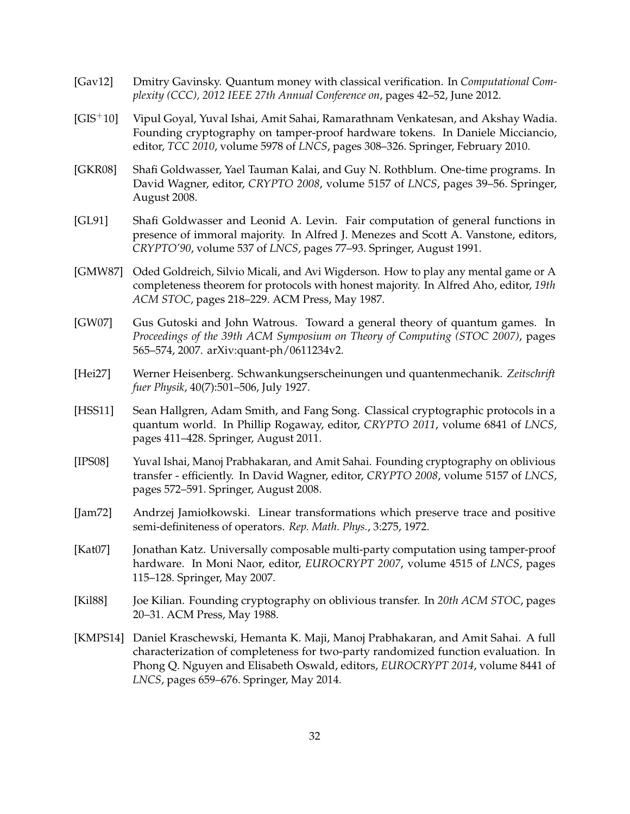- <span id="page-31-8"></span>[Gav12] Dmitry Gavinsky. Quantum money with classical verification. In *Computational Complexity (CCC), 2012 IEEE 27th Annual Conference on*, pages 42–52, June 2012.
- <span id="page-31-5"></span>[GIS+10] Vipul Goyal, Yuval Ishai, Amit Sahai, Ramarathnam Venkatesan, and Akshay Wadia. Founding cryptography on tamper-proof hardware tokens. In Daniele Micciancio, editor, *TCC 2010*, volume 5978 of *LNCS*, pages 308–326. Springer, February 2010.
- <span id="page-31-4"></span>[GKR08] Shafi Goldwasser, Yael Tauman Kalai, and Guy N. Rothblum. One-time programs. In David Wagner, editor, *CRYPTO 2008*, volume 5157 of *LNCS*, pages 39–56. Springer, August 2008.
- <span id="page-31-11"></span>[GL91] Shafi Goldwasser and Leonid A. Levin. Fair computation of general functions in presence of immoral majority. In Alfred J. Menezes and Scott A. Vanstone, editors, *CRYPTO'90*, volume 537 of *LNCS*, pages 77–93. Springer, August 1991.
- <span id="page-31-10"></span>[GMW87] Oded Goldreich, Silvio Micali, and Avi Wigderson. How to play any mental game or A completeness theorem for protocols with honest majority. In Alfred Aho, editor, *19th ACM STOC*, pages 218–229. ACM Press, May 1987.
- <span id="page-31-7"></span>[GW07] Gus Gutoski and John Watrous. Toward a general theory of quantum games. In *Proceedings of the 39th ACM Symposium on Theory of Computing (STOC 2007)*, pages 565–574, 2007. arXiv:quant-ph/0611234v2.
- <span id="page-31-6"></span>[Hei27] Werner Heisenberg. Schwankungserscheinungen und quantenmechanik. *Zeitschrift fuer Physik*, 40(7):501–506, July 1927.
- <span id="page-31-12"></span>[HSS11] Sean Hallgren, Adam Smith, and Fang Song. Classical cryptographic protocols in a quantum world. In Phillip Rogaway, editor, *CRYPTO 2011*, volume 6841 of *LNCS*, pages 411–428. Springer, August 2011.
- <span id="page-31-1"></span>[IPS08] Yuval Ishai, Manoj Prabhakaran, and Amit Sahai. Founding cryptography on oblivious transfer - efficiently. In David Wagner, editor, *CRYPTO 2008*, volume 5157 of *LNCS*, pages 572–591. Springer, August 2008.
- <span id="page-31-9"></span>[Jam72] Andrzej Jamiołkowski. Linear transformations which preserve trace and positive semi-definiteness of operators. *Rep. Math. Phys.*, 3:275, 1972.
- <span id="page-31-3"></span>[Kat07] Jonathan Katz. Universally composable multi-party computation using tamper-proof hardware. In Moni Naor, editor, *EUROCRYPT 2007*, volume 4515 of *LNCS*, pages 115–128. Springer, May 2007.
- <span id="page-31-0"></span>[Kil88] Joe Kilian. Founding cryptography on oblivious transfer. In *20th ACM STOC*, pages 20–31. ACM Press, May 1988.
- <span id="page-31-2"></span>[KMPS14] Daniel Kraschewski, Hemanta K. Maji, Manoj Prabhakaran, and Amit Sahai. A full characterization of completeness for two-party randomized function evaluation. In Phong Q. Nguyen and Elisabeth Oswald, editors, *EUROCRYPT 2014*, volume 8441 of *LNCS*, pages 659–676. Springer, May 2014.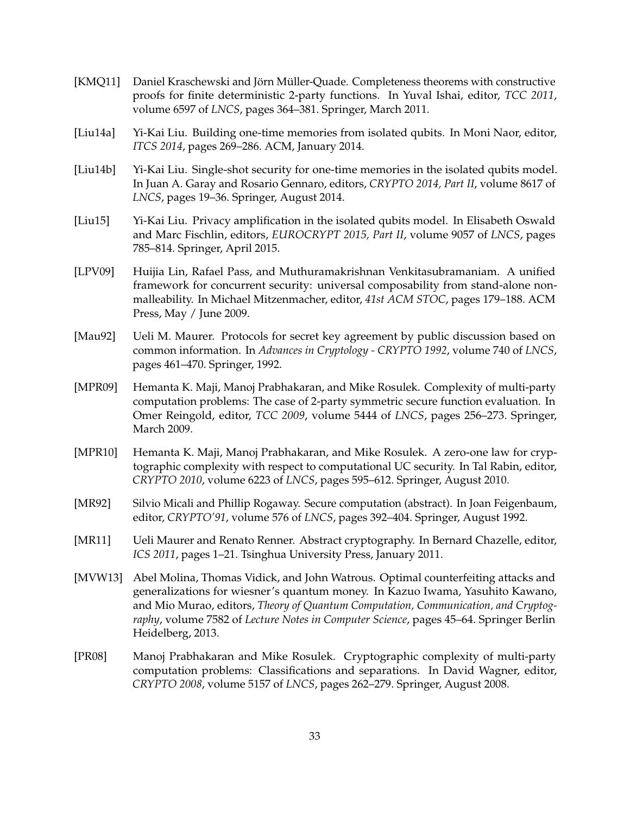- <span id="page-32-6"></span>[KMQ11] Daniel Kraschewski and Jörn Müller-Quade. Completeness theorems with constructive proofs for finite deterministic 2-party functions. In Yuval Ishai, editor, *TCC 2011*, volume 6597 of *LNCS*, pages 364–381. Springer, March 2011.
- <span id="page-32-8"></span>[Liu14a] Yi-Kai Liu. Building one-time memories from isolated qubits. In Moni Naor, editor, *ITCS 2014*, pages 269–286. ACM, January 2014.
- <span id="page-32-9"></span>[Liu14b] Yi-Kai Liu. Single-shot security for one-time memories in the isolated qubits model. In Juan A. Garay and Rosario Gennaro, editors, *CRYPTO 2014, Part II*, volume 8617 of *LNCS*, pages 19–36. Springer, August 2014.
- <span id="page-32-10"></span>[Liu15] Yi-Kai Liu. Privacy amplification in the isolated qubits model. In Elisabeth Oswald and Marc Fischlin, editors, *EUROCRYPT 2015, Part II*, volume 9057 of *LNCS*, pages 785–814. Springer, April 2015.
- <span id="page-32-2"></span>[LPV09] Huijia Lin, Rafael Pass, and Muthuramakrishnan Venkitasubramaniam. A unified framework for concurrent security: universal composability from stand-alone nonmalleability. In Michael Mitzenmacher, editor, *41st ACM STOC*, pages 179–188. ACM Press, May / June 2009.
- <span id="page-32-0"></span>[Mau92] Ueli M. Maurer. Protocols for secret key agreement by public discussion based on common information. In *Advances in Cryptology - CRYPTO 1992*, volume 740 of *LNCS*, pages 461–470. Springer, 1992.
- <span id="page-32-3"></span>[MPR09] Hemanta K. Maji, Manoj Prabhakaran, and Mike Rosulek. Complexity of multi-party computation problems: The case of 2-party symmetric secure function evaluation. In Omer Reingold, editor, *TCC 2009*, volume 5444 of *LNCS*, pages 256–273. Springer, March 2009.
- <span id="page-32-4"></span>[MPR10] Hemanta K. Maji, Manoj Prabhakaran, and Mike Rosulek. A zero-one law for cryptographic complexity with respect to computational UC security. In Tal Rabin, editor, *CRYPTO 2010*, volume 6223 of *LNCS*, pages 595–612. Springer, August 2010.
- <span id="page-32-11"></span>[MR92] Silvio Micali and Phillip Rogaway. Secure computation (abstract). In Joan Feigenbaum, editor, *CRYPTO'91*, volume 576 of *LNCS*, pages 392–404. Springer, August 1992.
- <span id="page-32-5"></span>[MR11] Ueli Maurer and Renato Renner. Abstract cryptography. In Bernard Chazelle, editor, *ICS 2011*, pages 1–21. Tsinghua University Press, January 2011.
- <span id="page-32-7"></span>[MVW13] Abel Molina, Thomas Vidick, and John Watrous. Optimal counterfeiting attacks and generalizations for wiesner's quantum money. In Kazuo Iwama, Yasuhito Kawano, and Mio Murao, editors, *Theory of Quantum Computation, Communication, and Cryptography*, volume 7582 of *Lecture Notes in Computer Science*, pages 45–64. Springer Berlin Heidelberg, 2013.
- <span id="page-32-1"></span>[PR08] Manoj Prabhakaran and Mike Rosulek. Cryptographic complexity of multi-party computation problems: Classifications and separations. In David Wagner, editor, *CRYPTO 2008*, volume 5157 of *LNCS*, pages 262–279. Springer, August 2008.